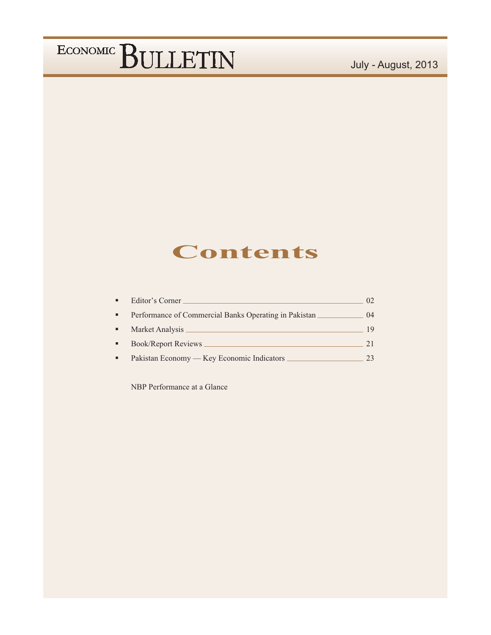### July - August, 2013

### **Contents**

| $\blacksquare$ | Editor's Corner                                       | (1) |
|----------------|-------------------------------------------------------|-----|
|                | Performance of Commercial Banks Operating in Pakistan | 04  |
| ٠              | Market Analysis                                       | 19  |
| $\blacksquare$ | <b>Book/Report Reviews</b>                            | 21. |
|                | Pakistan Economy — Key Economic Indicators            | 23  |

NBP Performance at a Glance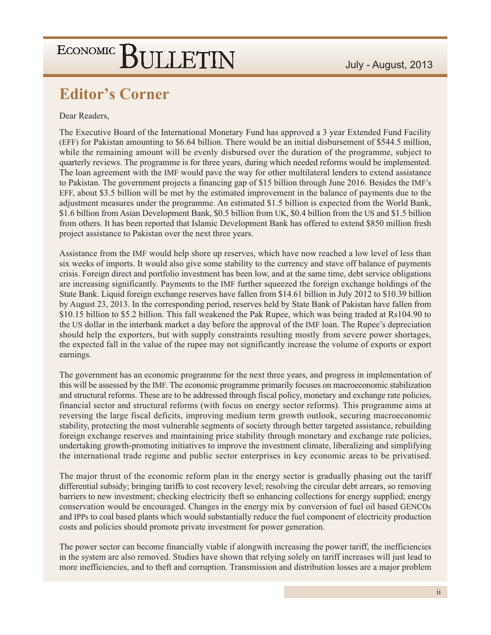### **Editor's Corner**

#### Dear Readers,

The Executive Board of the International Monetary Fund has approved a 3 year Extended Fund Facility (EFF) for Pakistan amounting to \$6.64 billion. There would be an initial disbursement of \$544.5 million, while the remaining amount will be evenly disbursed over the duration of the programme, subject to quarterly reviews. The programme is for three years, during which needed reforms would be implemented. The loan agreement with the IMF would pave the way for other multilateral lenders to extend assistance to Pakistan. The government projects a financing gap of \$15 billion through June 2016. Besides the IMF's EFF, about \$3.5 billion will be met by the estimated improvement in the balance of payments due to the adjustment measures under the programme. An estimated \$1.5 billion is expected from the World Bank, \$1.6 billion from Asian Development Bank, \$0.5 billion from UK, \$0.4 billion from the US and \$1.5 billion from others. It has been reported that Islamic Development Bank has offered to extend \$850 million fresh project assistance to Pakistan over the next three years.

Assistance from the IMF would help shore up reserves, which have now reached a low level of less than six weeks of imports. It would also give some stability to the currency and stave off balance of payments crisis. Foreign direct and portfolio investment has been low, and at the same time, debt service obligations are increasing significantly. Payments to the IMF further squeezed the foreign exchange holdings of the State Bank. Liquid foreign exchange reserves have fallen from \$14.61 billion in July 2012 to \$10.39 billion by August 23, 2013. In the corresponding period, reserves held by State Bank of Pakistan have fallen from \$10.15 billion to \$5.2 billion. This fall weakened the Pak Rupee, which was being traded at Rs104.90 to the US dollar in the interbank market a day before the approval of the IMF loan. The Rupee's depreciation should help the exporters, but with supply constraints resulting mostly from severe power shortages, the expected fall in the value of the rupee may not significantly increase the volume of exports or export earnings.

The government has an economic programme for the next three years, and progress in implementation of this will be assessed by the IMF. The economic programme primarily focuses on macroeconomic stabilization and structural reforms. These are to be addressed through fiscal policy, monetary and exchange rate policies, financial sector and structural reforms (with focus on energy sector reforms). This programme aims at reversing the large fiscal deficits, improving medium term growth outlook, securing macroeconomic stability, protecting the most vulnerable segments of society through better targeted assistance, rebuilding foreign exchange reserves and maintaining price stability through monetary and exchange rate policies, undertaking growth-promoting initiatives to improve the investment climate, liberalizing and simplifying the international trade regime and public sector enterprises in key economic areas to be privatised.

The major thrust of the economic reform plan in the energy sector is gradually phasing out the tariff differential subsidy; bringing tariffs to cost recovery level; resolving the circular debt arrears, so removing barriers to new investment; checking electricity theft so enhancing collections for energy supplied; energy conservation would be encouraged. Changes in the energy mix by conversion of fuel oil based GENCOs and IPPs to coal based plants which would substantially reduce the fuel component of electricity production costs and policies should promote private investment for power generation.

The power sector can become financially viable if alongwith increasing the power tariff, the inefficiencies in the system are also removed. Studies have shown that relying solely on tariff increases will just lead to more inefficiencies, and to theft and corruption. Transmission and distribution losses are a major problem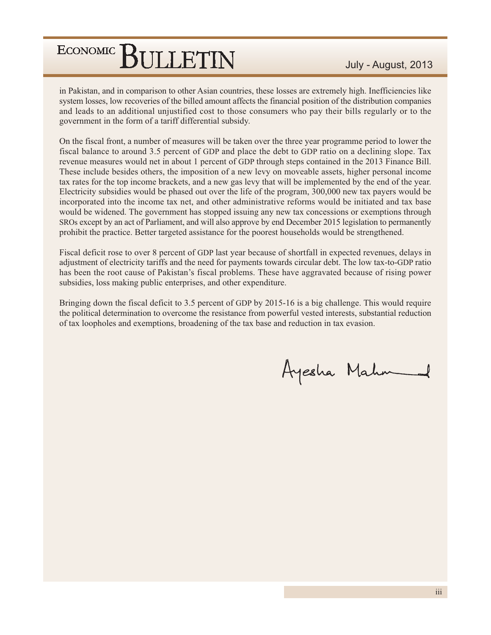in Pakistan, and in comparison to other Asian countries, these losses are extremely high. Inefficiencies like system losses, low recoveries of the billed amount affects the financial position of the distribution companies and leads to an additional unjustified cost to those consumers who pay their bills regularly or to the government in the form of a tariff differential subsidy.

On the fiscal front, a number of measures will be taken over the three year programme period to lower the fiscal balance to around 3.5 percent of GDP and place the debt to GDP ratio on a declining slope. Tax revenue measures would net in about 1 percent of GDP through steps contained in the 2013 Finance Bill. These include besides others, the imposition of a new levy on moveable assets, higher personal income tax rates for the top income brackets, and a new gas levy that will be implemented by the end of the year. Electricity subsidies would be phased out over the life of the program, 300,000 new tax payers would be incorporated into the income tax net, and other administrative reforms would be initiated and tax base would be widened. The government has stopped issuing any new tax concessions or exemptions through SROs except by an act of Parliament, and will also approve by end December 2015 legislation to permanently prohibit the practice. Better targeted assistance for the poorest households would be strengthened.

Fiscal deficit rose to over 8 percent of GDP last year because of shortfall in expected revenues, delays in adjustment of electricity tariffs and the need for payments towards circular debt. The low tax-to-GDP ratio has been the root cause of Pakistan's fiscal problems. These have aggravated because of rising power subsidies, loss making public enterprises, and other expenditure.

Bringing down the fiscal deficit to 3.5 percent of GDP by 2015-16 is a big challenge. This would require the political determination to overcome the resistance from powerful vested interests, substantial reduction of tax loopholes and exemptions, broadening of the tax base and reduction in tax evasion.

Ayesha Mahm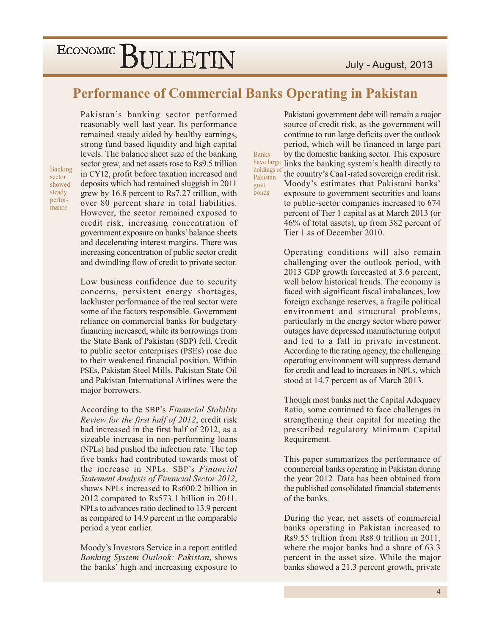### **Performance of Commercial Banks Operating in Pakistan**

**Banks** 

govt.

bonds

Banking sector showed steady performance

Pakistan's banking sector performed reasonably well last year. Its performance remained steady aided by healthy earnings, strong fund based liquidity and high capital levels. The balance sheet size of the banking sector grew, and net assets rose to Rs9.5 trillion in CY12, profit before taxation increased and deposits which had remained sluggish in 2011 grew by 16.8 percent to Rs7.27 trillion, with over 80 percent share in total liabilities. However, the sector remained exposed to credit risk, increasing concentration of government exposure on banks' balance sheets and decelerating interest margins. There was increasing concentration of public sector credit and dwindling flow of credit to private sector.

Low business confidence due to security concerns, persistent energy shortages, lackluster performance of the real sector were some of the factors responsible. Government reliance on commercial banks for budgetary financing increased, while its borrowings from the State Bank of Pakistan (SBP) fell. Credit to public sector enterprises (PSEs) rose due to their weakened financial position. Within PSEs. Pakistan Steel Mills. Pakistan State Oil and Pakistan International Airlines were the major borrowers.

According to the SBP's Financial Stability Review for the first half of 2012, credit risk had increased in the first half of 2012, as a sizeable increase in non-performing loans (NPLs) had pushed the infection rate. The top five banks had contributed towards most of the increase in NPLs. SBP's Financial Statement Analysis of Financial Sector 2012, shows NPLs increased to Rs600.2 billion in 2012 compared to Rs573.1 billion in 2011. NPLs to advances ratio declined to 13.9 percent as compared to 14.9 percent in the comparable period a year earlier.

Moody's Investors Service in a report entitled Banking System Outlook: Pakistan, shows the banks' high and increasing exposure to

Pakistani government debt will remain a major source of credit risk, as the government will continue to run large deficits over the outlook period, which will be financed in large part by the domestic banking sector. This exposure have large links the banking system's health directly to holdings of the country's Caa1-rated sovereign credit risk. Pakistan Moody's estimates that Pakistani banks' exposure to government securities and loans to public-sector companies increased to 674 percent of Tier 1 capital as at March 2013 (or 46% of total assets), up from 382 percent of Tier 1 as of December 2010.

> Operating conditions will also remain challenging over the outlook period, with 2013 GDP growth forecasted at 3.6 percent, well below historical trends. The economy is faced with significant fiscal imbalances, low foreign exchange reserves, a fragile political environment and structural problems, particularly in the energy sector where power outages have depressed manufacturing output and led to a fall in private investment. According to the rating agency, the challenging operating environment will suppress demand for credit and lead to increases in NPLs, which stood at 14.7 percent as of March 2013.

> Though most banks met the Capital Adequacy Ratio, some continued to face challenges in strengthening their capital for meeting the prescribed regulatory Minimum Capital Requirement.

> This paper summarizes the performance of commercial banks operating in Pakistan during the year 2012. Data has been obtained from the published consolidated financial statements of the banks.

> During the year, net assets of commercial banks operating in Pakistan increased to Rs9.55 trillion from Rs8.0 trillion in 2011, where the major banks had a share of 63.3 percent in the asset size. While the major banks showed a 21.3 percent growth, private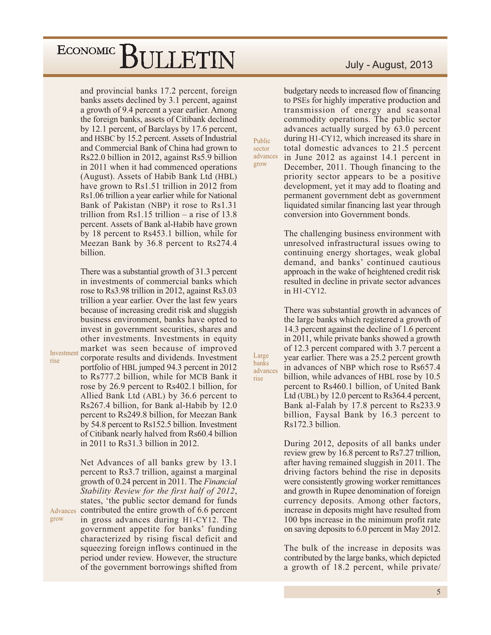and provincial banks 17.2 percent, foreign banks assets declined by 3.1 percent, against a growth of 9.4 percent a year earlier. Among the foreign banks, assets of Citibank declined by 12.1 percent, of Barclays by 17.6 percent, and HSBC by 15.2 percent. Assets of Industrial and Commercial Bank of China had grown to Rs22.0 billion in 2012, against Rs5.9 billion in 2011 when it had commenced operations (August). Assets of Habib Bank Ltd (HBL) have grown to Rs1.51 trillion in 2012 from Rs1.06 trillion a year earlier while for National Bank of Pakistan (NBP) it rose to Rs1.31 trillion from Rs1.15 trillion – a rise of 13.8 percent. Assets of Bank al-Habib have grown by 18 percent to Rs453.1 billion, while for Meezan Bank by 36.8 percent to Rs274.4 billion.

There was a substantial growth of 31.3 percent in investments of commercial banks which rose to Rs3.98 trillion in 2012, against Rs3.03 trillion a year earlier. Over the last few years because of increasing credit risk and sluggish business environment, banks have opted to invest in government securities, shares and other investments. Investments in equity market was seen because of improved corporate results and dividends. Investment portfolio of HBL jumped 94.3 percent in 2012 to Rs777.2 billion, while for MCB Bank it rose by 26.9 percent to Rs402.1 billion, for Allied Bank Ltd (ABL) by 36.6 percent to Rs267.4 billion, for Bank al-Habib by 12.0 percent to Rs249.8 billion, for Meezan Bank by 54.8 percent to Rs152.5 billion. Investment of Citibank nearly halved from Rs60.4 billion in 2011 to Rs31.3 billion in 2012.

Net Advances of all banks grew by 13.1 percent to Rs3.7 trillion, against a marginal growth of 0.24 percent in 2011. The *Financial* Stability Review for the first half of 2012, states, 'the public sector demand for funds Advances contributed the entire growth of 6.6 percent in gross advances during H1-CY12. The government appetite for banks' funding characterized by rising fiscal deficit and squeezing foreign inflows continued in the period under review. However, the structure of the government borrowings shifted from

July - August, 2013

budgetary needs to increased flow of financing to PSEs for highly imperative production and transmission of energy and seasonal commodity operations. The public sector advances actually surged by 63.0 percent during H1-CY12, which increased its share in total domestic advances to 21.5 percent in June 2012 as against 14.1 percent in December, 2011. Though financing to the priority sector appears to be a positive development, yet it may add to floating and permanent government debt as government liquidated similar financing last year through conversion into Government bonds.

Public

sector advances

grow

Large

banks

rise

advances

The challenging business environment with unresolved infrastructural issues owing to continuing energy shortages, weak global demand, and banks' continued cautious approach in the wake of heightened credit risk resulted in decline in private sector advances in H1-CY12.

There was substantial growth in advances of the large banks which registered a growth of 14.3 percent against the decline of 1.6 percent in 2011, while private banks showed a growth of 12.3 percent compared with 3.7 percent a year earlier. There was a 25.2 percent growth in advances of NBP which rose to Rs657.4 billion, while advances of HBL rose by 10.5 percent to Rs460.1 billion, of United Bank Ltd (UBL) by 12.0 percent to Rs364.4 percent, Bank al-Falah by 17.8 percent to Rs233.9 billion, Faysal Bank by 16.3 percent to Rs172.3 billion.

During 2012, deposits of all banks under review grew by 16.8 percent to Rs7.27 trillion, after having remained sluggish in 2011. The driving factors behind the rise in deposits were consistently growing worker remittances and growth in Rupee denomination of foreign currency deposits. Among other factors, increase in deposits might have resulted from 100 bps increase in the minimum profit rate on saving deposits to 6.0 percent in May 2012.

The bulk of the increase in deposits was contributed by the large banks, which depicted a growth of 18.2 percent, while private/

Investment rise

grow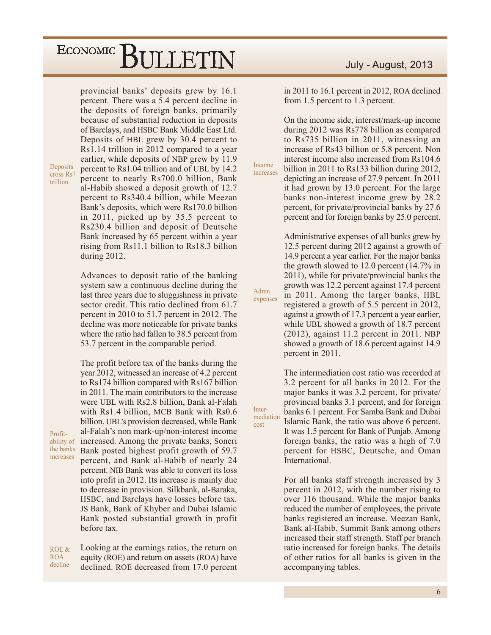provincial banks' deposits grew by 16.1

Deposits cross Rs7 trillion

Profit-

ability of the banks

increases

percent. There was a 5.4 percent decline in the deposits of foreign banks, primarily because of substantial reduction in deposits of Barclays, and HSBC Bank Middle East Ltd. Deposits of HBL grew by 30.4 percent to Rs1.14 trillion in 2012 compared to a year earlier, while deposits of NBP grew by 11.9 percent to Rs1.04 trillion and of UBL by 14.2 percent to nearly Rs700.0 billion, Bank al-Habib showed a deposit growth of 12.7 percent to Rs340.4 billion, while Meezan Bank's deposits, which were Rs170.0 billion in 2011, picked up by 35.5 percent to Rs230.4 billion and deposit of Deutsche Bank increased by 65 percent within a year rising from Rs11.1 billion to Rs18.3 billion during 2012.

Advances to deposit ratio of the banking system saw a continuous decline during the last three years due to sluggishness in private sector credit. This ratio declined from 61.7 percent in 2010 to 51.7 percent in 2012. The decline was more noticeable for private banks where the ratio had fallen to 38.5 percent from 53.7 percent in the comparable period.

The profit before tax of the banks during the year 2012, witnessed an increase of 4.2 percent to Rs174 billion compared with Rs167 billion in 2011. The main contributors to the increase were UBL with Rs2.8 billion, Bank al-Falah with Rs1.4 billion, MCB Bank with Rs0.6 billion. UBL's provision decreased, while Bank al-Falah's non mark-up/non-interest income increased. Among the private banks, Soneri Bank posted highest profit growth of 59.7 percent, and Bank al-Habib of nearly 24 percent. NIB Bank was able to convert its loss into profit in 2012. Its increase is mainly due to decrease in provision. Silkbank, al-Baraka, HSBC, and Barclays have losses before tax. JS Bank, Bank of Khyber and Dubai Islamic Bank posted substantial growth in profit before tax.

Looking at the earnings ratios, the return on ROE & **ROA** equity (ROE) and return on assets (ROA) have decline declined. ROE decreased from 17.0 percent in 2011 to 16.1 percent in 2012, ROA declined from 1.5 percent to 1.3 percent.

On the income side, interest/mark-up income during 2012 was Rs778 billion as compared to Rs735 billion in 2011, witnessing an increase of Rs43 billion or 5.8 percent. Non interest income also increased from Rs104.6 billion in 2011 to Rs133 billion during 2012, depicting an increase of 27.9 percent. In 2011 it had grown by 13.0 percent. For the large banks non-interest income grew by 28.2 percent, for private/provincial banks by 27.6 percent and for foreign banks by 25.0 percent.

Income

Admn

Inter-

cost

mediation

expenses

increases

Administrative expenses of all banks grew by 12.5 percent during 2012 against a growth of 14.9 percent a year earlier. For the major banks the growth slowed to 12.0 percent  $(14.7\%$  in 2011), while for private/provincial banks the growth was 12.2 percent against 17.4 percent in 2011. Among the larger banks, HBL registered a growth of 5.5 percent in 2012, against a growth of 17.3 percent a year earlier, while UBL showed a growth of 18.7 percent  $(2012)$ , against 11.2 percent in 2011. NBP showed a growth of 18.6 percent against 14.9 percent in 2011.

The intermediation cost ratio was recorded at 3.2 percent for all banks in 2012. For the major banks it was 3.2 percent, for private/ provincial banks 3.1 percent, and for foreign banks 6.1 percent. For Samba Bank and Dubai Islamic Bank, the ratio was above 6 percent. It was 1.5 percent for Bank of Punjab. Among foreign banks, the ratio was a high of 7.0 percent for HSBC, Deutsche, and Oman International.

For all banks staff strength increased by 3 percent in 2012, with the number rising to over 116 thousand. While the major banks reduced the number of employees, the private banks registered an increase. Meezan Bank, Bank al-Habib, Summit Bank among others increased their staff strength. Staff per branch ratio increased for foreign banks. The details of other ratios for all banks is given in the accompanying tables.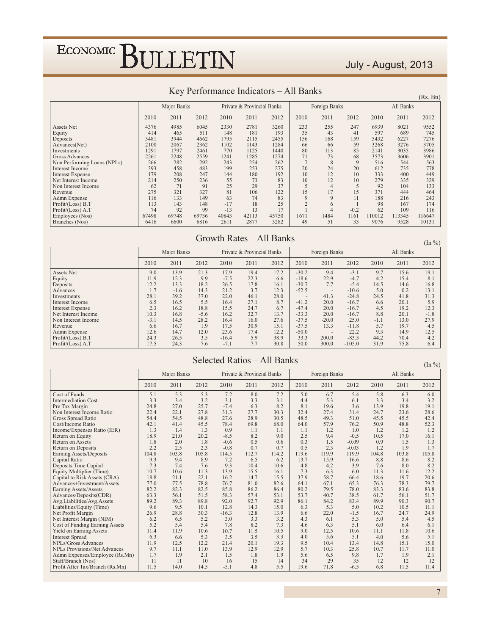### July - August, 2013

|                             | $\mathbf{N}$ referred the contraction $\mathbf{N}$ referred to $\mathbf{N}$ referred to $\mathbf{N}$ referred to $\mathbf{N}$ referred to $\mathbf{N}$<br>(Rs. Bn) |             |       |       |                            |       |      |               |                |        |           |        |  |  |
|-----------------------------|--------------------------------------------------------------------------------------------------------------------------------------------------------------------|-------------|-------|-------|----------------------------|-------|------|---------------|----------------|--------|-----------|--------|--|--|
|                             |                                                                                                                                                                    | Major Banks |       |       | Private & Provincial Banks |       |      | Foreign Banks |                |        | All Banks |        |  |  |
|                             | 2010                                                                                                                                                               | 2011        | 2012  | 2010  | 2011                       | 2012  | 2010 | 2011          | 2012           | 2010   | 2011      | 2012   |  |  |
| <b>Assets Net</b>           | 4376                                                                                                                                                               | 4985        | 6045  | 2330  | 2781                       | 3260  | 233  | 255           | 247            | 6939   | 8021      | 9552   |  |  |
| Equity                      | 414                                                                                                                                                                | 465         | 511   | 148   | 181                        | 193   | 35   | 43            | 41             | 597    | 689       | 745    |  |  |
| Deposits                    | 3481                                                                                                                                                               | 3944        | 4662  | 1795  | 2115                       | 2455  | 156  | 168           | 159            | 5432   | 6227      | 7276   |  |  |
| Advances(Net)               | 2100                                                                                                                                                               | 2067        | 2362  | 1102  | 1143                       | 1284  | 66   | 66            | 59             | 3268   | 3276      | 3705   |  |  |
| Investments                 | 1291                                                                                                                                                               | 1797        | 2461  | 770   | 1125                       | 1440  | 80   | 113           | 85             | 2141   | 3035      | 3986   |  |  |
| <b>Gross Advances</b>       | 2261                                                                                                                                                               | 2248        | 2559  | 1241  | 1285                       | 1274  | 71   | 73            | 68             | 3573   | 3606      | 3901   |  |  |
| Non Performing Loans (NPLs) | 266                                                                                                                                                                | 282         | 292   | 243   | 254                        | 262   |      | 8             | $\overline{Q}$ | 516    | 544       | 563    |  |  |
| <b>Interest Income</b>      | 393                                                                                                                                                                | 458         | 483   | 199   | 253                        | 275   | 20   | 24            | 20             | 612    | 735       | 778    |  |  |
| <b>Interest Expense</b>     | 179                                                                                                                                                                | 208         | 247   | 144   | 180                        | 192   | 10   | 12            | 10             | 333    | 400       | 449    |  |  |
| Net Interest Income         | 214                                                                                                                                                                | 250         | 236   | 55    | 73                         | 83    | 10   | 12            | 10             | 279    | 335       | 329    |  |  |
| Non Interest Income         | 62                                                                                                                                                                 | 71          | 91    | 25    | 29                         | 37    |      |               |                | 92     | 104       | 133    |  |  |
| Revenue                     | 275                                                                                                                                                                | 321         | 327   | 81    | 106                        | 122   | 15   | 17            | 15             | 371    | 444       | 464    |  |  |
| Admn Expense                | 116                                                                                                                                                                | 133         | 149   | 63    | 74                         | 83    | 9    | 9             | 11             | 188    | 216       | 243    |  |  |
| Profit/(Loss) B.T           | 113                                                                                                                                                                | 143         | 148   | $-17$ | 18                         | 25    |      | 6             |                | 98     | 167       | 174    |  |  |
| Profit/(Loss) A.T           | 74                                                                                                                                                                 | 92          | 99    | $-13$ | 13                         | 17    |      |               | $-0.2$         | 62     | 109       | 116    |  |  |
| Employees (Nos)             | 67498                                                                                                                                                              | 69748       | 69736 | 40843 | 42113                      | 45750 | 1671 | 1484          | 1161           | 110012 | 113345    | 116647 |  |  |
| Branches (Nos)              | 6416                                                                                                                                                               | 6600        | 6816  | 2611  | 2877                       | 3282  | 49   | 51            | 33             | 9076   | 9528      | 10131  |  |  |

#### Key Performance Indicators - All Banks

#### Growth Rates - All Banks

 $(\text{In } \% )$ 

|                         |        | Major Banks |        |         | Private & Provincial Banks |      |                | Foreign Banks            |          | All Banks |      |        |  |
|-------------------------|--------|-------------|--------|---------|----------------------------|------|----------------|--------------------------|----------|-----------|------|--------|--|
|                         | 2010   | 2011        | 2012   | 2010    | 2011                       | 2012 | 2010           | 2011                     | 2012     | 2010      | 2011 | 2012   |  |
| Assets Net              | 9.0    | 13.9        | 21.3   | 17.9    | 19.4                       | 17.2 | $-30.2$        | 9.4                      | $-3.1$   | 9.7       | 15.6 | 19.1   |  |
| Equity                  | 11.9   | 12.3        | 9.9    | $-7.5$  | 22.3                       | 6.6  | $-18.6$        | 22.9                     | $-4.7$   | 4.2       | 15.4 | 8.1    |  |
| Deposits                | 12.2   | 13.3        | 18.2   | 26.5    | 17.8                       | 16.1 | $-30.7$        | 7.7                      | $-5.4$   | 14.5      | 14.6 | 16.8   |  |
| Advances                | 1.7    | $-1.6$      | 14.3   | 21.2    | 3.7                        | 12.3 | $-52.5$        | $\overline{\phantom{a}}$ | $-10.6$  | 5.0       | 0.2  | 13.1   |  |
| Investments             | 28.1   | 39.2        | 37.0   | 22.0    | 46.1                       | 28.0 | $\overline{a}$ | 41.3                     | $-24.8$  | 24.5      | 41.8 | 31.3   |  |
| Interest Income         | 6.5    | 16.5        | 5.5    | 16.4    | 27.1                       | 8.7  | $-41.2$        | 20.0                     | $-16.7$  | 6.6       | 20.1 | 5.9    |  |
| <b>Interest Expense</b> | 2.3    | 16.2        | 18.8   | 15.5    | 24.7                       | 6.7  | $-47.4$        | 20.0                     | $-16.7$  | 4.5       | 19.2 | 12.3   |  |
| Net Interest Income     | 10.3   | 16.8        | $-5.6$ | 16.2    | 32.7                       | 13.7 | $-33.3$        | 20.0                     | $-16.7$  | 8.8       | 20.1 | $-1.8$ |  |
| Non Interest Income     | $-3.1$ | 14.5        | 28.2   | 16.4    | 16.0                       | 27.6 | $-37.5$        | $-20.0$                  | 25.0     | $-1.1$    | 13.0 | 27.9   |  |
| Revenue                 | 6.6    | 16.7        | 1.9    | 17.5    | 30.9                       | 15.1 | $-37.5$        | 13.3                     | $-11.8$  | 5.7       | 19.7 | 4.5    |  |
| Admn Expense            | 12.6   | 14.7        | 12.0   | 23.6    | 17.4                       | 12.2 | $-50.0$        | $\overline{\phantom{a}}$ | 22.2     | 9.3       | 14.9 | 12.5   |  |
| Profit/(Loss) B.T       | 24.3   | 26.5        | 3.5    | $-16.4$ | 5.9                        | 38.9 | 33.3           | 200.0                    | $-83.3$  | 44.2      | 70.4 | 4.2    |  |
| Profit/(Loss) A.T       | 17.5   | 24.3        | 7.6    | $-7.1$  | 7.7                        | 30.8 | 50.0           | 300.0                    | $-105.0$ | 31.9      | 75.8 | 6.4    |  |

#### Selected Ratios - All Banks

 $(\ln \frac{0}{0})$ 

|                                     |       | Major Banks |       |         | Private & Provincial Banks |       |       | Foreign Banks |         | All Banks |       | 111 / 01 |
|-------------------------------------|-------|-------------|-------|---------|----------------------------|-------|-------|---------------|---------|-----------|-------|----------|
|                                     |       |             |       |         |                            |       |       |               |         |           |       |          |
|                                     | 2010  | 2011        | 2012  | 2010    | 2011                       | 2012  | 2010  | 2011          | 2012    | 2010      | 2011  | 2012     |
| Cost of Funds                       | 5.1   | 5.3         | 5.3   | 7.2     | 8.0                        | 7.2   | 5.0   | 6.7           | 5.4     | 5.8       | 6.3   | 6.0      |
| <b>Intermediation Cost</b>          | 3.3   | 3.4         | 3.2   | 3.1     | 3.3                        | 3.1   | 4.4   | 5.3           | 6.1     | 3.3       | 3.4   | 3.2      |
| Pre Tax Margin                      | 24.8  | 27.0        | 25.7  | $-7.4$  | 6.3                        | 8.2   | 8.1   | 19.6          | 3.6     | 13.9      | 19.8  | 19.1     |
| Non Interest Income Ratio           | 22.4  | 22.1        | 27.8  | 31.3    | 27.7                       | 30.3  | 32.4  | 27.4          | 31.4    | 24.7      | 23.6  | 28.6     |
| Gross Spread Ratio                  | 54.4  | 54.5        | 48.8  | 27.6    | 28.9                       | 30.5  | 48.5  | 49.3          | 51.0    | 45.5      | 45.5  | 42.4     |
| Cost/Income Ratio                   | 42.1  | 41.4        | 45.5  | 78.4    | 69.8                       | 68.0  | 64.0  | 57.9          | 76.2    | 50.9      | 48.8  | 52.3     |
| Income/Expenses Ratio (IER)         | 1.3   | 1.4         | 1.3   | 0.9     | 1.1                        | 1.1   | 1.1   | 1.2           | 1.0     | 1.2       | 1.2   | 1.2      |
| Return on Equity                    | 18.9  | 21.0        | 20.2  | $-8.5$  | 8.2                        | 9.0   | 2.5   | 9.4           | $-0.5$  | 10.5      | 17.0  | 16.1     |
| <b>Return on Assets</b>             | 1.8   | 2.0         | 1.8   | $-0.6$  | 0.5                        | 0.6   | 0.3   | 1.5           | $-0.09$ | 0.9       | 1.5   | 1.3      |
| Return on Deposits                  | 2.2   | 2.5         | 2.3   | $-0.8$  | 0.7                        | 0.7   | 0.5   | 2.3           | $-0.03$ | 1.2       | 1.9   | 1.7      |
| Earning Assets/Deposits             | 104.8 | 103.8       | 105.8 | 114.5   | 112.7                      | 114.2 | 119.6 | 119.9         | 119.9   | 104.8     | 103.8 | 105.8    |
| Capital Ratio                       | 9.3   | 9.4         | 8.9   | 7.2     | 6.5                        | 6.2   | 13.7  | 15.9          | 16.6    | 8.8       | 8.6   | 8.2      |
| Deposits Time Capital               | 7.3   | 7.4         | 7.6   | 9.3     | 10.4                       | 10.6  | 4.8   | 4.2           | 3.9     | 7.6       | 8.0   | 8.2      |
| Equity Multiplier (Time)            | 10.7  | 10.6        | 11.3  | 13.9    | 15.5                       | 16.1  | 7.3   | 6.3           | 6.0     | 11.3      | 11.6  | 12.2     |
| Capital to Risk Assets (CRA)        | 18.8  | 21.1        | 22.1  | 16.2    | 14.7                       | 15.5  | 37.9  | 58.7          | 66.4    | 18.6      | 19.7  | 20.6     |
| Advances+Investment/Assets          | 77.0  | 77.5        | 78.8  | 76.7    | 81.0                       | 82.6  | 64.1  | 67.1          | 65.3    | 76.3      | 78.3  | 79.7     |
| Earning Assets/Assets               | 82.2  | 82.3        | 82.5  | 85.8    | 86.2                       | 86.4  | 80.2  | 79.5          | 78.0    | 83.3      | 83.6  | 83.8     |
| Advances/Deposits(CDR)              | 63.3  | 56.1        | 51.5  | 58.3    | 57.4                       | 53.1  | 53.7  | 40.7          | 38.5    | 61.7      | 56.1  | 51.7     |
| Avg.Liabilities/Avg.Assets          | 89.2  | 89.3        | 89.8  | 92.0    | 92.7                       | 92.9  | 86.1  | 84.2          | 83.4    | 89.9      | 90.3  | 90.7     |
| Liabilities/Equity (Time)           | 9.6   | 9.5         | 10.1  | 12.8    | 14.3                       | 15.0  | 6.3   | 5.3           | 5.0     | 10.2      | 10.5  | 11.1     |
| Net Profit Margin                   | 26.9  | 28.8        | 30.3  | $-16.3$ | 12.8                       | 13.9  | 6.6   | 22.0          | $-1.5$  | 16.7      | 24.7  | 24.9     |
| Net Interest Margin (NIM)           | 6.2   | 6.5         | 5.2   | 3.0     | 3.3                        | 3.2   | 4.3   | 6.1           | 5.3     | 5.0       | 5.4   | 4.5      |
| Cost of Funding Earning Assets      | 5.2   | 5.4         | 5.4   | 7.8     | 8.2                        | 7.3   | 4.6   | 6.3           | 5.1     | 6.0       | 6.4   | 6.1      |
| Yield on Earning Assets             | 11.4  | 11.9        | 10.6  | 10.7    | 11.5                       | 10.5  | 9.0   | 12.5          | 10.6    | 11.1      | 11.8  | 10.6     |
| <b>Interest Spread</b>              | 6.3   | 6.6         | 5.3   | 3.5     | 3.5                        | 3.3   | 4.0   | 5.6           | 5.1     | 4.0       | 5.6   | 5.1      |
| <b>NPLs/Gross Advances</b>          | 11.9  | 12.5        | 12.2  | 21.4    | 20.1                       | 19.3  | 9.5   | 10.4          | 13.4    | 14.8      | 15.1  | 15.0     |
| <b>NPLs Provisions/Net Advances</b> | 9.7   | 11.1        | 11.0  | 13.9    | 12.9                       | 12.9  | 5.7   | 10.3          | 25.8    | 10.7      | 11.7  | 11.0     |
| Admn Expenses/Employee (Rs.Mn)      | 1.7   | 1.9         | 2.1   | 1.5     | 1.8                        | 1.9   | 5.6   | 6.5           | 9.8     | 1.7       | 1.9   | 2.1      |
| Staff/Branch (Nos)                  | 11    | 11          | 10    | 16      | 15                         | 14    | 34    | 29            | 35      | 12        | 12    | 12       |
| Profit After Tax/Branch (Rs.Mn)     | 11.5  | 14.0        | 14.5  | $-5.1$  | 4.8                        | 5.5   | 19.6  | 71.8          | $-6.5$  | 6.8       | 11.5  | 11.4     |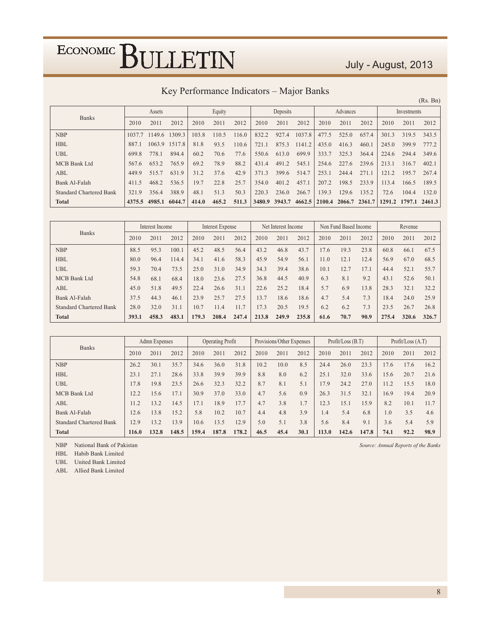#### July - August, 2013

| Key Performance Indicators - Major Banks |
|------------------------------------------|
|------------------------------------------|

|                                |        |        |        |       |        |       |        |          |        |        |               |       |       |             | (Rs. Bn)             |
|--------------------------------|--------|--------|--------|-------|--------|-------|--------|----------|--------|--------|---------------|-------|-------|-------------|----------------------|
|                                |        | Assets |        |       | Equity |       |        | Deposits |        |        | Advances      |       |       | Investments |                      |
| <b>Banks</b>                   | 2010   | 2011   | 2012   | 2010  | 2011   | 2012  | 2010   | 2011     | 2012   | 2010   | 2011          | 2012  | 2010  | 2011        | 2012                 |
| <b>NBP</b>                     | 1037.7 | 1149.6 | 1309.3 | 103.8 | 110.5  | 116.0 | 832.2  | 927.4    | 1037.8 | 477.5  | 525.0         | 657.4 | 301.3 | 319.5       | 343.5                |
| <b>HBL</b>                     | 887.1  | 1063.9 | 1517.8 | 81.8  | 93.5   | 110.6 | 721.1  | 875.3    | 1141.2 | 435.0  | 416.3         | 460.1 | 245.0 | 399.9       | 777.2                |
| <b>UBL</b>                     | 699.8  | 778.1  | 894.4  | 60.2  | 70.6   | 77.6  | 550.6  | 613.0    | 699.9  | 333.7  | 325.3         | 364.4 | 224.6 | 294.4       | 349.6                |
| MCB Bank Ltd                   | 567.6  | 653.2  | 765.9  | 69.2  | 78.9   | 88.2  | 431.4  | 491.2    | 545.1  | 254.6  | 227.6         | 239.6 | 213.1 | 316.7       | 402.1                |
| ABL                            | 449.9  | 515.7  | 631.9  | 31.2  | 37.6   | 42.9  | 371.3  | 399.6    | 514.7  | 253.1  | 244.4         | 271.1 | 121.2 | 195.7       | 267.4                |
| Bank Al-Falah                  | 411.5  | 468.2  | 536.5  | 19.7  | 22.8   | 25.7  | 354.0  | 401.2    | 457.1  | 207.2  | 198.5         | 233.9 | 113.4 | 166.5       | 189.5                |
| <b>Standard Chartered Bank</b> | 321.9  | 356.4  | 388.9  | 48.1  | 51.3   | 50.3  | 220.3  | 236.0    | 266.7  | 139.3  | 129.6         | 135.2 | 72.6  | 104.4       | 132.0                |
| <b>Total</b>                   | 4375.5 | 4985.1 | 6044.7 | 414.0 | 465.2  | 511.3 | 3480.9 | 3943.7   | 4662.5 | 2100.4 | 2066.7 2361.7 |       |       |             | 1291.2 1797.1 2461.3 |

| <b>Banks</b>                   | Interest Income |       |       | Interest Expense |       |       |       | Net Interest Income |       |      | Non Fund Based Income |      | Revenue |       |       |
|--------------------------------|-----------------|-------|-------|------------------|-------|-------|-------|---------------------|-------|------|-----------------------|------|---------|-------|-------|
|                                | 2010            | 2011  | 2012  | 2010             | 2011  | 2012  | 2010  | 2011                | 2012  | 2010 | 2011                  | 2012 | 2010    | 2011  | 2012  |
| <b>NBP</b>                     | 88.5            | 95.3  | 100.1 | 45.2             | 48.5  | 56.4  | 43.2  | 46.8                | 43.7  | 17.6 | 19.3                  | 23.8 | 60.8    | 66.1  | 67.5  |
| <b>HBL</b>                     | 80.0            | 96.4  | 114.4 | 34.1             | 41.6  | 58.3  | 45.9  | 54.9                | 56.1  | 11.0 | 12.1                  | 12.4 | 56.9    | 67.0  | 68.5  |
| <b>UBL</b>                     | 59.3            | 70.4  | 73.5  | 25.0             | 31.0  | 34.9  | 34.3  | 39.4                | 38.6  | 10.1 | 12.7                  | 17.1 | 44.4    | 52.1  | 55.7  |
| MCB Bank Ltd                   | 54.8            | 68.1  | 68.4  | 18.0             | 23.6  | 27.5  | 36.8  | 44.5                | 40.9  | 6.3  | 8.1                   | 9.2  | 43.1    | 52.6  | 50.1  |
| ABL                            | 45.0            | 51.8  | 49.5  | 22.4             | 26.6  | 31.1  | 22.6  | 25.2                | 18.4  | 5.7  | 6.9                   | 13.8 | 28.3    | 32.1  | 32.2  |
| Bank Al-Falah                  | 37.5            | 44.3  | 46.1  | 23.9             | 25.7  | 27.5  | 13.7  | 18.6                | 18.6  | 4.7  | 5.4                   | 7.3  | 18.4    | 24.0  | 25.9  |
| <b>Standard Chartered Bank</b> | 28.0            | 32.0  | 31.1  | 10.7             | 11.4  | 11.7  | 17.3  | 20.5                | 19.5  | 6.2  | 6.2                   | 7.3  | 23.5    | 26.7  | 26.8  |
| <b>Total</b>                   | 393.1           | 458.3 | 483.1 | 179.3            | 208.4 | 247.4 | 213.8 | 249.9               | 235.8 | 61.6 | 70.7                  | 90.9 | 275.4   | 320.6 | 326.7 |

| <b>Banks</b>                   | Admn Expenses |       |       | <b>Operating Profit</b> |       |       |      | Provisions/Other Expenses |      |       | Profit / Loss (B.T) |       | Profit/Loss $(A.T)$ |      |      |
|--------------------------------|---------------|-------|-------|-------------------------|-------|-------|------|---------------------------|------|-------|---------------------|-------|---------------------|------|------|
|                                | 2010          | 2011  | 2012  | 2010                    | 2011  | 2012  | 2010 | 2011                      | 2012 | 2010  | 2011                | 2012  | 2010                | 2011 | 2012 |
| <b>NBP</b>                     | 26.2          | 30.1  | 35.7  | 34.6                    | 36.0  | 31.8  | 10.2 | 10.0                      | 8.5  | 24.4  | 26.0                | 23.3  | 17.6                | 17.6 | 16.2 |
| <b>HBL</b>                     | 23.1          | 27.1  | 28.6  | 33.8                    | 39.9  | 39.9  | 8.8  | 8.0                       | 6.2  | 25.1  | 32.0                | 33.6  | 15.6                | 20.7 | 21.6 |
| <b>UBL</b>                     | I.78          | 19.8  | 23.5  | 26.6                    | 32.3  | 32.2  | 8.7  | 8.1                       | 5.1  | 17.9  | 24.2                | 27.0  | 11.2                | 15.5 | 18.0 |
| <b>MCB</b> Bank Ltd            | 12.2          | 15.6  | 17.1  | 30.9                    | 37.0  | 33.0  | 4.7  | 5.6                       | 0.9  | 26.3  | 31.5                | 32.1  | 16.9                | 19.4 | 20.9 |
| ABL                            | 11.2          | 13.2  | 14.5  | 7.1                     | 18.9  | 17.7  | 4.7  | 3.8                       | 1.7  | 12.3  | 15.1                | 15.9  | 8.2                 | 10.1 | 11.7 |
| Bank Al-Falah                  | 12.6          | 13.8  | 15.2  | 5.8                     | 10.2  | 10.7  | 4.4  | 4.8                       | 3.9  | 1.4   | 5.4                 | 6.8   | 1.0                 | 3.5  | 4.6  |
| <b>Standard Chartered Bank</b> | 12.9          | 13.2  | 13.9  | 10.6                    | 13.5  | 12.9  | 5.0  | 5.1                       | 3.8  | 5.6   | 8.4                 | 9.1   | 3.6                 | 5.4  | 5.9  |
| <b>Total</b>                   | 116.0         | 132.8 | 148.5 | 159.4                   | 187.8 | 178.2 | 46.5 | 45.4                      | 30.1 | 113.0 | 142.6               | 147.8 | 74.1                | 92.2 | 98.9 |

NBP National Bank of Pakistan Source: Annual Reports of the Banks

HBL Habib Bank Limited

UBL United Bank Limited

ABL Allied Bank Limited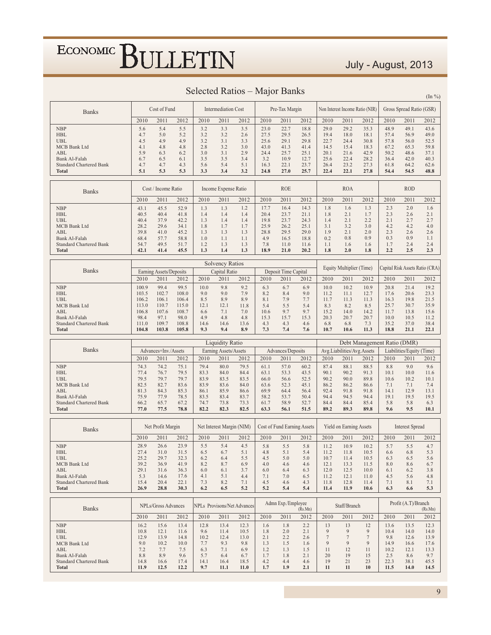#### July - August, 2013

| Selected Ratios – Major Banks | $(\ln \frac{9}{6})$ |
|-------------------------------|---------------------|
|-------------------------------|---------------------|

|                                                 |                | Cost of Fund            |                |              |                            |                                    |              |                             |                 |                |                            |                                 |              |                           |                                 |
|-------------------------------------------------|----------------|-------------------------|----------------|--------------|----------------------------|------------------------------------|--------------|-----------------------------|-----------------|----------------|----------------------------|---------------------------------|--------------|---------------------------|---------------------------------|
| <b>Banks</b>                                    |                |                         |                |              | <b>Intermediation Cost</b> |                                    |              | Pre-Tax Margin              |                 |                |                            | Non Interest Income Ratio (NIR) |              | Gross Spread Ratio (GSR)  |                                 |
|                                                 | 2010           | 2011                    | 2012           | 2010         | 2011                       | 2012                               | 2010         | 2011                        | 2012            | 2010           | 2011                       | 2012                            | 2010         | 2011                      | 2012                            |
| <b>NBP</b><br><b>HBL</b>                        | 5.6<br>4.7     | 5.4<br>5.0              | 5.5<br>5.2     | 3.2<br>3.2   | 3.3<br>3.2                 | 3.5<br>2.6                         | 23.0<br>27.5 | 22.7<br>29.5                | 18.8<br>26.5    | 29.0<br>19.4   | 29.2<br>18.0               | 35.3<br>18.1                    | 48.9<br>57.4 | 49.1<br>56.9              | 43.6<br>49.0                    |
| <b>UBL</b>                                      | 4.5            | 4.9                     | 4.9            | 3.2          | 3.1                        | 3.3                                | 25.6         | 29.1                        | 29.8            | 22.7           | 24.4                       | 30.8                            | 57.8         | 56.0                      | 52.5                            |
| MCB Bank Ltd                                    | 4.1            | 4.8                     | 4.8            | 2.8          | 3.2                        | 3.0                                | 43.0         | 41.3                        | 41.4            | 14.5           | 15.4                       | 18.3                            | 67.2         | 65.3                      | 59.8                            |
| ABL<br><b>Bank Al-Falah</b>                     | 5.9<br>6.7     | 6.3<br>6.5              | 6.2<br>6.1     | 3.0<br>3.5   | 3.1<br>3.5                 | 2.9<br>3.4                         | 24.4<br>3.2  | 25.7<br>10.9                | 25.1<br>12.7    | 20.1<br>25.6   | 21.6<br>22.4               | 42.9<br>28.2                    | 50.2<br>36.4 | 48.6<br>42.0              | 37.1<br>40.3                    |
| <b>Standard Chartered Bank</b>                  | 4.7            | 4.7                     | 4.3            | 5.6          | 5.4                        | 5.1                                | 16.3         | 22.1                        | 23.7            | 26.4           | 23.2                       | 27.3                            | 61.8         | 64.2                      | 62.6                            |
| Total                                           | 5.1            | 5.3                     | 5.3            | 3.3          | 3.4                        | 3.2                                | 24.8         | 27.0                        | 25.7            | 22.4           | 22.1                       | 27.8                            | 54.4         | 54.5                      | 48.8                            |
|                                                 |                |                         |                |              |                            |                                    |              | <b>ROE</b>                  |                 |                |                            |                                 |              | <b>ROD</b>                |                                 |
| <b>Banks</b>                                    |                | Cost / Income Ratio     |                |              | Income Expense Ratio       |                                    |              |                             |                 |                | <b>ROA</b>                 |                                 |              |                           |                                 |
|                                                 | 2010           | 2011                    | 2012           | 2010         | 2011                       | 2012                               | 2010         | 2011                        | 2012            | 2010           | 2011                       | 2012                            | 2010         | 2011                      | 2012                            |
| <b>NBP</b><br><b>HBL</b>                        | 43.1<br>40.5   | 45.5<br>40.4            | 52.9<br>41.8   | 1.3<br>1.4   | 1.3<br>1.4                 | 1.2<br>1.4                         | 17.7<br>20.4 | 16.4<br>23.7                | 14.3<br>21.1    | 1.8<br>1.8     | 1.6<br>2.1                 | 1.3<br>1.7                      | 2.3<br>2.3   | 2.0<br>2.6                | 1.6<br>2.1                      |
| <b>UBL</b>                                      | 40.4           | 37.9                    | 42.2           | 1.3          | 1.4                        | 1.4                                | 19.8         | 23.7                        | 24.3            | 1.4            | 2.1                        | 2.2                             | 2.1          | 2.7                       | 2.7                             |
| MCB Bank Ltd                                    | 28.2           | 29.6                    | 34.1           | 1.8          | 1.7                        | 1.7                                | 25.9         | 26.2                        | 25.1            | 3.1            | 3.2                        | 3.0                             | 4.2          | 4.2                       | 4.0                             |
| ABL<br>Bank Al-Falah                            | 39.8<br>68.4   | 41.0<br>57.7            | 45.2<br>58.8   | 1.3<br>1.0   | 1.3<br>1.1                 | 1.3<br>1.1                         | 28.8<br>4.9  | 29.5<br>16.5                | 29.0<br>18.8    | 1.9<br>0.2     | 2.1<br>0.8                 | 2.0<br>0.9                      | 2.3<br>0.3   | 2.6<br>0.9                | 2.6<br>1.1                      |
| <b>Standard Chartered Bank</b>                  | 54.7           | 49.5                    | 51.7           | 1.2          | 1.3                        | 1.3                                | 7.8          | 11.0                        | 11.6            | 1.1            | 1.6                        | 1.6                             | 1.7          | 2.4                       | 2.4                             |
| <b>Total</b>                                    | 42.1           | 41.4                    | 45.5           | 1.3          | 1.4                        | 1.3                                | 18.9         | 21.0                        | 20.2            | 1.8            | 2.0                        | 1.8                             | 2.2          | 2.5                       | 2.3                             |
|                                                 |                |                         |                |              | <b>Solvency Ratios</b>     |                                    |              |                             |                 |                |                            |                                 |              |                           |                                 |
| <b>Banks</b>                                    |                | Earning Assets/Deposits |                |              | Capital Ratio              |                                    |              | Deposit Time Capital        |                 |                | Equity Multiplier (Time)   |                                 |              |                           | Capital Risk Assets Ratio (CRA) |
|                                                 | 2010           | 2011                    | 2012           | 2010         | 2011                       | 2012                               | 2010         | 2011                        | 2012            | 2010           | 2011                       | 2012                            | 2010         | 2011                      | 2012                            |
| <b>NBP</b>                                      | 100.9          | 99.4                    | 99.5           | 10.0         | 9.8                        | 9.2                                | 6.3          | 6.7                         | 6.9             | 10.0           | 10.2                       | 10.9                            | 20.8         | 21.4                      | 19.2                            |
| <b>HBL</b><br><b>UBL</b>                        | 103.5<br>106.2 | 102.7<br>106.1          | 108.0<br>106.4 | 9.0<br>8.5   | 9.0<br>8.9                 | 7.9<br>8.9                         | 8.2<br>8.1   | 8.4<br>7.9                  | 9.0<br>7.7      | 11.2<br>11.7   | 11.1<br>11.3               | 12.7<br>11.3                    | 17.6<br>16.3 | 20.6<br>19.8              | 23.3<br>21.5                    |
| MCB Bank Ltd                                    | 113.0          | 110.7                   | 115.0          | 12.1         | 12.1                       | 11.8                               | 5.4          | 5.5                         | 5.4             | 8.3            | 8.2                        | 8.5                             | 25.7         | 30.7                      | 35.9                            |
| ABL                                             | 106.8          | 107.6                   | 108.7          | 6.6          | 7.1                        | 7.0                                | 10.6         | 9.7                         | 9.7             | 15.2           | 14.0                       | 14.2                            | 11.7         | 13.8                      | 15.6                            |
| Bank Al-Falah<br><b>Standard Chartered Bank</b> | 98.4<br>111.0  | 97.1<br>109.7           | 98.0<br>108.8  | 4.9<br>14.6  | 4.8<br>14.6                | 4.8<br>13.6                        | 15.3<br>4.3  | 15.7<br>4.3                 | 15.3<br>4.6     | 20.3<br>6.8    | 20.7<br>6.8                | 20.7<br>7.3                     | 10.0<br>35.2 | 10.5<br>37.0              | 11.2<br>38.4                    |
| <b>Total</b>                                    | 104.8          | 103.8                   | 105.8          | 9.3          | 9.4                        | 8.9                                | 7.3          | 7.4                         | 7.6             | 10.7           | 10.6                       | 11.3                            | 18.8         | 21.1                      | 22.1                            |
|                                                 |                |                         |                |              | <b>Liquidity Ratio</b>     |                                    |              |                             |                 |                |                            | Debt Management Ratio (DMR)     |              |                           |                                 |
| <b>Banks</b>                                    |                | Advances+Inv./Assets    |                |              | Earning Assets/Assets      |                                    |              | Advances/Deposits           |                 |                | Avg.Liabilities/Avg.Assets |                                 |              | Liabilities/Equity (Time) |                                 |
|                                                 | 2010           | 2011                    | 2012           | 2010         | 2011                       | 2012                               | 2010         | 2011                        | 2012            | 2010           | 2011                       | 2012                            | 2010         | 2011                      | 2012                            |
| <b>NBP</b>                                      | 74.3           | 74.2                    | 75.1           | 79.4         | 80.0                       | 79.5                               | 61.1         | 57.0                        | 60.2            | 87.4           | 88.1                       | 88.5                            | 8.8          | 9.0                       | 9.6                             |
| <b>HBL</b><br><b>UBL</b>                        | 77.4<br>79.5   | 76.7<br>79.7            | 79.5<br>79.7   | 83.3<br>83.9 | 84.0<br>83.5               | 84.4                               | 63.1<br>66.0 | 53.3                        | 43.5            | 90.1           | 90.2<br>90.0               | 91.3<br>89.8                    | 10.1<br>10.6 | 10.0<br>10.2              | 11.6<br>10.1                    |
| MCB Bank Ltd                                    |                |                         |                |              |                            | 83.5                               |              | 56.6                        | 52.5            | 90.2           |                            |                                 |              |                           |                                 |
|                                                 |                |                         |                |              |                            |                                    |              |                             |                 |                |                            |                                 |              |                           |                                 |
| ABL                                             | 82.5<br>81.3   | 82.7<br>84.3            | 83.6<br>85.3   | 83.9<br>86.1 | 83.6<br>85.9               | 84.0<br>86.6                       | 63.6<br>69.9 | 52.3<br>64.4                | 45.1<br>56.4    | 86.2<br>92.4   | 86.2<br>91.8               | 86.6<br>91.8                    | 7.1<br>14.1  | 7.1<br>12.9               | 7.4<br>13.1                     |
| Bank Al-Falah                                   | 75.9           | 77.9                    | 78.5           | 83.5         | 83.4                       | 83.7                               | 58.2         | 53.7                        | 50.4            | 94.4           | 94.5                       | 94.4                            | 19.1         | 19.5                      | 19.5                            |
| <b>Standard Chartered Bank</b><br><b>Total</b>  | 66.2<br>77.0   | 65.7<br>77.5            | 67.2<br>78.8   | 74.7<br>82.2 | 73.8<br>82.3               | 73.3<br>82.5                       | 61.7<br>63.3 | 58.9<br>56.1                | 52.7<br>51.5    | 84.4<br>89.2   | 84.4<br>89.3               | 85.4<br>89.8                    | 5.8<br>9.6   | 5.8<br>9.5                | 6.3<br>10.1                     |
|                                                 |                |                         |                |              |                            |                                    |              |                             |                 |                |                            |                                 |              |                           |                                 |
| <b>Banks</b>                                    |                | Net Profit Margin       |                |              | Net Interest Margin (NIM)  |                                    |              | Cost of Fund Earning Assets |                 |                | Yield on Earning Assets    |                                 |              | <b>Interest Spread</b>    |                                 |
|                                                 | 2010           | 2011                    | 2012           | 2010         | 2011                       | 2012                               | 2010         | 2011                        | 2012            | 2010           | 2011                       | 2012                            | 2010         | 2011                      | 2012                            |
| <b>NBP</b>                                      | 28.9           | 26.6                    | 23.9           | 5.5          | 5.4                        | 4.5                                | 5.8          | 5.5                         | 5.8             | 11.2           | 10.9                       | 10.2                            | 5.7          | 5.5                       | 4.7                             |
| HBL                                             | 27.4           | 31.0                    | 31.5           | 6.5          | 6.7                        | 5.1                                | 4.8          | 5.1                         | 5.4             | 11.2           | 11.8                       | 10.5                            | 6.6          | 6.8                       | 5.3                             |
| UBL                                             | 25.2           | 29.7                    | 32.3           | 6.2          | 6.4                        | 5.5                                | 4.5          | 5.0                         | 5.0             | 10.7           | 11.4                       | 10.5                            | 6.3          | 6.5                       | 5.6                             |
| MCB Bank Ltd<br>ABL                             | 39.2<br>29.1   | 36.9<br>31.6            | 41.9<br>36.3   | 8.2<br>6.0   | 8.7<br>6.1                 | 6.9<br>3.7                         | 4.0<br>6.0   | 4.6<br>6.4                  | 4.6<br>6.3      | 12.1<br>12.0   | 13.3<br>12.5               | 11.5<br>10.0                    | 8.0<br>6.1   | 8.6<br>6.2                | 6.7<br>3.8                      |
| Bank Al-Falah                                   | 5.3            | 14.6                    | 17.6           | 4.1          | 5.1                        | 4.4                                | 7.1          | 7.0                         | 6.5             | 11.2           | 12.1                       | 11.0                            | 4.5          | 5.6                       | 4.8                             |
| <b>Standard Chartered Bank</b><br>Total         | 15.4<br>26.9   | 20.4<br>28.8            | 22.1<br>30.3   | 7.3<br>6.2   | 8.2<br>6.5                 | 7.1<br>5.2                         | 4.5<br>5.2   | 4.6<br>5.4                  | 4.3<br>5.4      | 11.8<br>11.4   | 12.8<br>11.9               | 11.4<br>10.6                    | 7.1<br>6.3   | 8.1<br>6.6                | 7.1<br>5.3                      |
|                                                 |                |                         |                |              |                            |                                    |              |                             |                 |                |                            |                                 |              |                           |                                 |
|                                                 |                | NPLs/Gross Advances     |                |              |                            | <b>NPLs</b> Provisons/Net Advances |              | Admn Exp./Employee          |                 |                | Staff/Branch               |                                 |              | Profit (A.T)/Branch       |                                 |
| <b>Banks</b>                                    | 2010           | 2011                    | 2012           | 2010         | 2011                       | 2012                               | 2010         | 2011                        | (Rs.Mn)<br>2012 | 2010           | 2011                       | 2012                            | 2010         | 2011                      | (Rs.Mn)<br>2012                 |
| <b>NBP</b>                                      | 16.2           | 15.6                    | 13.4           | 12.8         | 13.4                       | 12.3                               | 1.6          | 1.8                         | 2.2             | 13             | 13                         | 12                              | 13.6         | 13.5                      | 12.3                            |
| <b>HBL</b>                                      | 10.8           | 12.1                    | 11.6           | 9.6          | 11.4                       | 10.5                               | 1.8          | 2.0                         | 2.1             | 9              | 9                          | 9                               | 10.4         | 14.0                      | 14.0                            |
| UBL                                             | 12.9           | 13.9                    | 14.8           | 10.2         | 12.4                       | 13.0                               | 2.1          | 2.2                         | 2.6             | $\overline{7}$ | $\tau$                     | $7\phantom{.0}$                 | 9.8          | 12.6                      | 13.9                            |
| MCB Bank Ltd<br>ABL                             | 9.0<br>7.2     | 10.2<br>7.7             | 10.0<br>7.5    | 7.7<br>6.3   | 9.3<br>7.1                 | 9.8<br>6.9                         | 1.3<br>1.2   | 1.5<br>1.3                  | 1.6<br>1.5      | 9<br>11        | 9<br>12                    | 9<br>11                         | 14.9<br>10.2 | 16.6<br>12.1              | 17.6<br>13.3                    |
| Bank Al-Falah<br><b>Standard Chartered Bank</b> | 8.8<br>14.8    | 8.9<br>16.6             | 9.6<br>17.4    | 5.7<br>14.1  | 6.4<br>16.4                | 6.7<br>18.5                        | 1.7<br>4.2   | 1.8<br>4.4                  | 2.1<br>4.6      | 20<br>19       | 19<br>21                   | 15<br>23                        | 2.5<br>22.3  | 8.6<br>38.1               | 9.7<br>45.5                     |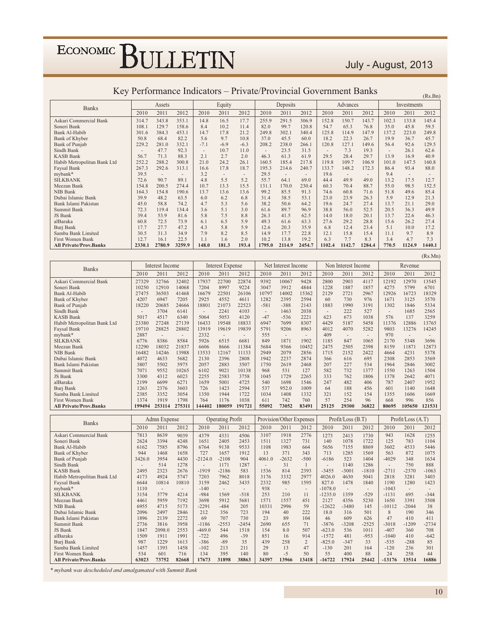#### July - August, 2013

| $\kappa$ ey i chomilance muicators – filoate/floomicial Ooverninent Danks |        |        |        |                          |        |        |        |                          |                          |        |                          |        |       | (Rs.Bn)     |        |
|---------------------------------------------------------------------------|--------|--------|--------|--------------------------|--------|--------|--------|--------------------------|--------------------------|--------|--------------------------|--------|-------|-------------|--------|
| <b>Banks</b>                                                              |        | Assets |        |                          | Equity |        |        | Deposits                 |                          |        | Advances                 |        |       | Investments |        |
|                                                                           | 2010   | 2011   | 2012   | 2010                     | 2011   | 2012   | 2010   | 2011                     | 2012                     | 2010   | 2011                     | 2012   | 2010  | 2011        | 2012   |
| Askari Commercial Bank                                                    | 314.7  | 343.8  | 353.1  | 14.8                     | 16.5   | 17.7   | 255.9  | 291.5                    | 306.9                    | 152.8  | 150.7                    | 143.7  | 102.3 | 133.8       | 145.4  |
| Soneri Bank                                                               | 108.1  | 129.7  | 158.6  | 8.4                      | 10.2   | 11.4   | 82.0   | 99.7                     | 120.8                    | 54.7   | 65.3                     | 76.8   | 35.0  | 45.8        | 59.5   |
| Bank Al-Habib                                                             | 301.6  | 384.3  | 453.1  | 14.7                     | 17.8   | 21.2   | 249.8  | 302.1                    | 340.4                    | 125.8  | 114.9                    | 147.9  | 137.2 | 223.0       | 249.8  |
| Bank of Khyber                                                            | 50.8   | 68.4   | 82.2   | 5.6                      | 9.7    | 10.8   | 37.0   | 45.5                     | 60.0                     | 18.2   | 22.3                     | 26.7   | 19.9  | 36.7        | 45.7   |
| Bank of Punjab                                                            | 229.2  | 281.0  | 332.1  | $-7.1$                   | $-6.9$ | $-6.3$ | 208.2  | 238.0                    | 266.1                    | 120.8  | 127.1                    | 149.6  | 56.4  | 92.6        | 129.5  |
| Sindh Bank                                                                |        | 47.7   | 92.3   | $\overline{\phantom{a}}$ | 10.7   | 11.0   |        | 23.5                     | 31.5                     |        | 7.3                      | 19.3   |       | 26.1        | 62.6   |
| <b>KASB Bank</b>                                                          | 56.7   | 71.3   | 88.3   | 2.1                      | 2.7    | 2.0    | 46.3   | 61.3                     | 61.9                     | 29.5   | 28.4                     | 29.7   | 13.9  | 16.9        | 40.9   |
| Habib Metropolitan Bank Ltd                                               | 252.2  | 288.2  | 300.8  | 21.0                     | 24.2   | 26.1   | 160.5  | 185.4                    | 217.8                    | 119.8  | 109.7                    | 106.9  | 101.0 | 147.5       | 160.8  |
| Faysal Bank                                                               | 267.3  | 292.6  | 313.1  | 16.6                     | 17.8   | 18.7   | 195.3  | 214.6                    | 240.7                    | 133.7  | 148.2                    | 172.3  | 86.4  | 93.4        | 88.0   |
| mybank*                                                                   | 39.5   | ٠      |        | 3.2                      |        | $\sim$ | 29.5   | $\overline{\phantom{a}}$ | $\overline{\phantom{a}}$ | 19.6   | $\overline{\phantom{a}}$ |        | 9.4   |             |        |
| <b>SILKBANK</b>                                                           | 72.6   | 90.7   | 89.1   | 4.8                      | 5.5    | 5.2    | 55.7   | 64.1                     | 69.0                     | 44.4   | 49.9                     | 49.0   | 13.2  | 17.5        | 12.7   |
| Meezan Bank                                                               | 154.8  | 200.5  | 274.4  | 10.7                     | 13.3   | 15.5   | 131.1  | 170.0                    | 230.4                    | 60.3   | 70.4                     | 88.7   | 55.0  | 98.5        | 152.5  |
| NIB Bank                                                                  | 164.3  | 154.8  | 190.6  | 13.7                     | 13.6   | 13.6   | 99.2   | 85.5                     | 91.3                     | 74.6   | 60.8                     | 71.6   | 51.8  | 49.6        | 85.4   |
| Dubai Islamic Bank                                                        | 39.9   | 48.2   | 63.5   | 6.0                      | 6.2    | 6.8    | 31.4   | 38.5                     | 53.1                     | 23.0   | 23.9                     | 26.3   | 5.9   | 12.9        | 21.3   |
| Bank Islami Pakistan                                                      | 45.0   | 58.8   | 74.2   | 4.7                      | 5.3    | 5.6    | 38.2   | 50.6                     | 64.2                     | 19.6   | 24.7                     | 27.4   | 13.7  | 21.1        | 29.0   |
| Summit Bank                                                               | 72.3   | 119.4  | 134.4  | 3.6                      | 5.1    | 3.0    | 61.6   | 89.7                     | 96.9                     | 38.8   | 56.0                     | 52.5   | 20.5  | 36.3        | 49.9   |
| JS Bank                                                                   | 39.4   | 53.9   | 81.6   | 5.8                      | 7.5    | 8.8    | 26.3   | 41.5                     | 62.5                     | 14.0   | 18.0                     | 20.1   | 13.7  | 22.6        | 46.3   |
| alBaraka                                                                  | 60.8   | 72.5   | 73.9   | 6.1                      | 6.5    | 5.9    | 49.3   | 61.6                     | 63.3                     | 27.6   | 29.2                     | 28.8   | 15.6  | 26.2        | 27.4   |
| Burj Bank                                                                 | 17.7   | 27.7   | 47.2   | 4.3                      | 5.8    | 5.9    | 12.6   | 20.3                     | 35.9                     | 6.8    | 12.4                     | 23.4   | 5.1   | 10.0        | 17.2   |
| Samba Bank Limited                                                        | 30.5   | 31.3   | 34.9   | 7.9                      | 8.2    | 8.5    | 14.9   | 17.7                     | 22.8                     | 12.1   | 15.8                     | 15.4   | 11.1  | 9.7         | 8.9    |
| <b>First Women Bank</b>                                                   | 12.7   | 16.1   | 22.5   | 1.1                      | 1.6    | 2.0    | 10.2   | 13.8                     | 19.2                     | 6.3    | 7.7                      | 8.3    | 3.4   | 4.7         | 7.3    |
| <b>All Private/Prov.Banks</b>                                             | 2330.1 | 2780.9 | 3259.9 | 148.0                    | 181.3  | 193.4  | 1795.0 | 2114.9                   | 2454.7                   | 1102.4 | 1142.7                   | 1284.4 | 770.5 | 1124.9      | 1440.1 |

#### Key Performance Indicators – Private/Provincial Government Banks

|                               |        |                          |                          |        |                  |        |                |                     |       |       |                     |        |       |         | (Rs.Mn) |
|-------------------------------|--------|--------------------------|--------------------------|--------|------------------|--------|----------------|---------------------|-------|-------|---------------------|--------|-------|---------|---------|
| <b>Banks</b>                  |        | Interest Income          |                          |        | Interest Expense |        |                | Net Interest Income |       |       | Non Interest Income |        |       | Revenue |         |
|                               | 2010   | 2011                     | 2012                     | 2010   | 2011             | 2012   | 2010           | 2011                | 2012  | 2010  | 2011                | 2012   | 2010  | 2011    | 2012    |
| Askari Commercial Bank        | 27329  | 32766                    | 32402                    | 17937  | 22700            | 22874  | 9392           | 10067               | 9428  | 2800  | 2903                | 4117   | 12192 | 12970   | 13545   |
| Soneri Bank                   | 10250  | 12910                    | 14068                    | 7204   | 8997             | 9224   | 3047           | 3912                | 4844  | 1228  | 1887                | 1857   | 4275  | 5799    | 6701    |
| Bank Al-Habib                 | 27475  | 36503                    | 41468                    | 16679  | 22501            | 26106  | 10797          | 14002               | 15362 | 2129  | 2721                | 2967   | 12926 | 16723   | 18329   |
| Bank of Khyber                | 4207   | 6947                     | 7205                     | 2925   | 4552             | 4611   | 1282           | 2395                | 2594  | 60    | 730                 | 976    | 1671  | 3125    | 3570    |
| Bank of Punjab                | 18220  | 20685                    | 24666                    | 18801  | 21073            | 22523  | $-581$         | $-388$              | 2143  | 1883  | 1990                | 3191   | 1302  | 1846    | 5334    |
| Sindh Bank                    |        | 3704                     | 6141                     | ۰      | 2241             | 4103   | $\overline{a}$ | 1463                | 2038  | ۰     | 222                 | 527    |       | 1685    | 2565    |
| <b>KASB Bank</b>              | 5017   | 4517                     | 6340                     | 5064   | 5053             | 4120   | $-47$          | $-536$              | 2221  | 623   | 673                 | 1038   | 576   | 137     | 3259    |
| Habib Metropolitan Bank Ltd   | 23380  | 27248                    | 27139                    | 16433  | 19548            | 18833  | 6947           | 7699                | 8307  | 4429  | 5187                | 5458   | 11376 | 12886   | 13765   |
| Faysal Bank                   | 19710  | 28825                    | 28802                    | 13919  | 19619            | 19839  | 5791           | 9206                | 8963  | 4012  | 4070                | 5282   | 9803  | 13276   | 14245   |
| mybank*                       | 2887   | $\overline{\phantom{a}}$ | $\overline{\phantom{a}}$ | 2332   |                  | ۰      | 555            | $\sim$              |       | 409   |                     | $\sim$ | 970   |         |         |
| <b>SILKBANK</b>               | 6776   | 8386                     | 8584                     | 5926   | 6515             | 6681   | 849            | 1871                | 1902  | 1185  | 847                 | 1065   | 2170  | 5348    | 3696    |
| Meezan Bank                   | 12290  | 18032                    | 21837                    | 6606   | 8666             | 11384  | 5684           | 9366                | 10452 | 2475  | 2505                | 2398   | 8159  | 11871   | 12873   |
| NIB Bank                      | 16482  | 14246                    | 13988                    | 13533  | 12167            | 11133  | 2949           | 2079                | 2856  | 1715  | 2152                | 2422   | 4664  | 4231    | 5378    |
| Dubai Islamic Bank            | 4072   | 4633                     | 5682                     | 2130   | 2396             | 2808   | 1942           | 2237                | 2874  | 366   | 616                 | 695    | 2308  | 2853    | 3569    |
| Bank Islami Pakistan          | 3807   | 5502                     | 5975                     | 2057   | 2883             | 3507   | 1750           | 2619                | 2468  | 207   | 227                 | 534    | 1964  | 2846    | 3002    |
| Summit Bank                   | 7071   | 9552                     | 10265                    | 6102   | 9021             | 10138  | 968            | 531                 | 127   | 582   | 732                 | 1377   | 1550  | 1263    | 1504    |
| JS Bank                       | 3300   | 4312                     | 6023                     | 2255   | 2583             | 3758   | 1045           | 1729                | 2265  | 333   | 762                 | 1806   | 1378  | 2642    | 4071    |
| alBaraka                      | 2199   | 6699                     | 6271                     | 1659   | 5001             | 4725   | 540            | 1698                | 1546  | 247   | 482                 | 406    | 787   | 2407    | 1952    |
| Burj Bank                     | 1263   | 2376                     | 3603                     | 726    | 1423             | 2594   | 537            | 952.0               | 1009  | 64    | 188                 | 456    | 601   | 1140    | 1648    |
| Samba Bank Limited            | 2385   | 3352                     | 3054                     | 1350   | 1944             | 1722   | 1034           | 1408                | 1332  | 321   | 152                 | 154    | 1355  | 1606    | 1669    |
| <b>First Women Bank</b>       | 1374   | 1919                     | 1798                     | 764    | 1176             | 1038   | 611            | 742                 | 760   | 57    | 254                 | 96     | 668   | 996     | 856     |
| <b>All Private/Prov.Banks</b> | 199494 | 253114                   | 275311                   | 144402 | 180059           | 191721 | 55092          | 73052               | 83491 | 25125 | 29300               | 36822  | 80695 | 105650  | 121531  |

| <b>Banks</b>                  |        | Admn Expense |       |           | <b>Operating Profit</b> |                          |        |                          | Provision/Other Expenses |           | Profit/Loss (B.T)        |                          |          | Profit/Loss (A.T) |         |
|-------------------------------|--------|--------------|-------|-----------|-------------------------|--------------------------|--------|--------------------------|--------------------------|-----------|--------------------------|--------------------------|----------|-------------------|---------|
|                               | 2010   | 2011         | 2012  | 2010      | 2011                    | 2012                     | 2010   | 2011                     | 2012                     | 2010      | 2011                     | 2012                     | 2010     | 2011              | 2012    |
| Askari Commercial Bank        | 7813   | 8639         | 9039  | 4379      | 4331                    | 4506                     | 3107   | 1918                     | 2776                     | 1273      | 2413                     | 1730                     | 943      | 1628              | 1255    |
| Soneri Bank                   | 2624   | 3394         | 4248  | 1651      | 2405                    | 2453                     | 1511   | 1327                     | 731                      | 140       | 1078                     | 1722                     | 125      | 783               | 1104    |
| Bank Al-Habib                 | 6162   | 7585         | 8796  | 6764      | 9138                    | 9533                     | 1108   | 1983                     | 664                      | 5656      | 7155                     | 8869                     | 3602     | 4533              | 5446    |
| Bank of Khyber                | 944    | 1468         | 1658  | 727       | 1657                    | 1912                     | 13     | 371                      | 343                      | 713       | 1285                     | 1569                     | 563      | 872               | 1075    |
| <b>Bank of Punjab</b>         | 3426.0 | 3954         | 4430  | $-2124.0$ | $-2108$                 | 904                      | 4061.0 | $-2632$                  | $-500$                   | $-6186$   | 523                      | 1404                     | $-4029$  | 348               | 1634    |
| Sindh Bank                    |        | 514          | 1278  | ۰         | 1171                    | 1287                     | $\sim$ | 31                       |                          |           | 1140                     | 1286                     |          | 750               | 888     |
| <b>KASB Bank</b>              | 2495   | 2323         | 2676  | $-1919$   | $-2186$                 | 583                      | 1536   | 814                      | 2393                     | $-3455$   | $-3001$                  | $-1810$                  | $-2711$  | $-2370$           | $-1063$ |
| Habib Metropolitan Bank Ltd   | 4173   | 4924         | 5747  | 7203      | 7962                    | 8018                     | 3176   | 3332                     | 2977                     | 4026.0    | 4630                     | 5041                     | 2818     | 3281              | 3403    |
| Faysal Bank                   | 6644   | 10814        | 10810 | 3159      | 2462                    | 3435                     | 2332   | 985                      | 1595                     | 827.0     | 1478                     | 1840                     | 1190     | 1280              | 1423    |
| mybank*                       | 1110   | ٠            |       | $-140$    | $\sim$                  | $\overline{\phantom{a}}$ | 938    | $\overline{\phantom{a}}$ | $\overline{\phantom{a}}$ | $-1078.0$ | $\overline{\phantom{a}}$ | $\overline{\phantom{a}}$ | $-1043$  |                   |         |
| <b>SILKBANK</b>               | 3154   | 3779         | 4214  | $-984$    | 1569                    | $-518$                   | 253    | 210                      | 11                       | $-1235.0$ | 1359                     | $-529$                   | $-1131$  | 695               | $-344$  |
| Meezan Bank                   | 4461   | 5959         | 7192  | 3698      | 5912                    | 5681                     | 1571   | 1557                     | 451                      | 2127      | 4356                     | 5230                     | 1650     | 3391              | 3508    |
| NIB Bank                      | 6955   | 4715         | 5173  | $-2291$   | $-484$                  | 205                      | 10331  | 2996                     | 59                       | $-12622$  | $-3480$                  | 145                      | $-10112$ | $-2044$           | 38      |
| Dubai Islamic Bank            | 2096   | 2497         | 2846  | 212       | 356                     | 723                      | 194    | 40                       | 222                      | 18.0      | 316                      | 501                      | 8        | 190               | 346     |
| Bank Islami Pakistan          | 1896   | 2139         | 2272  | 69        | 707                     | 730                      | 23     | 89                       | 104                      | 46        | 609                      | 626                      | 47       | 410               | 411     |
| Summit Bank                   | 2736   | 3816         | 3958  | $-1186$   | $-2553$                 | $-2454$                  | 2690   | 655                      | 71                       | $-3876$   | $-3208$                  | $-2525$                  | $-3018$  | $-1209$           | $-2734$ |
| JS Bank                       | 1847   | 2098.0       | 2553  | $-469.0$  | 544                     | 1518                     | 154    | 8.0                      | 507                      | $-623.0$  | 536                      | 1011                     | $-407$   | 360               | 708     |
| alBaraka                      | 1509   | 1911         | 1991  | $-722$    | 496                     | $-39$                    | 851    | 16                       | 914                      | $-1572$   | 481                      | $-953$                   | $-1040$  | 410               | $-642$  |
| Burj Bank                     | 987    | 1229         | 1613  | $-386$    | $-89$                   | 35                       | 439    | 258                      | $\overline{2}$           | $-825.0$  | $-347$                   | 33                       | $-535$   | $-288$            | 85      |
| Samba Bank Limited            | 1457   | 1393         | 1458  | $-102$    | 213                     | 211                      | 29     | 13                       | 47                       | $-130$    | 201                      | 164                      | $-120$   | 236               | 301     |
| First Women Bank              | 534    | 601          | 716   | 134       | 395                     | 140                      | 80     | $-5$                     | 50                       | 55        | 400                      | 88                       | 24       | 258               | 44      |
| <b>All Private/Prov.Banks</b> | 63023  | 73752        | 82668 | 17673     | 31898                   | 38863                    | 34397  | 13966                    | 13418                    | $-16722$  | 17924                    | 25442                    | $-13176$ | 13514             | 16886   |

\* mybank was descheduled and amalgamated with Summit Bank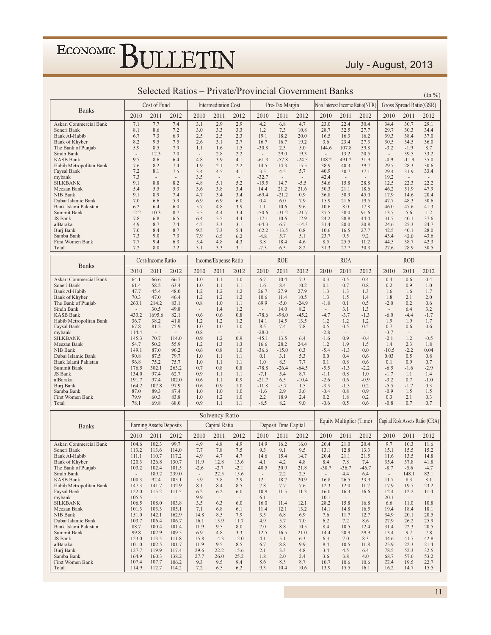### July - August, 2013

|                                             |                                   | Cost of Fund                     |                                   |                  | <b>Intermediation Cost</b> |                |                                  | Pre-Tax Margin                   |                 |                                    |                                 | Non Interest Income Ratio(NIIR)    |                                    | Gross Spread Ratio(GSR)         |                                 |
|---------------------------------------------|-----------------------------------|----------------------------------|-----------------------------------|------------------|----------------------------|----------------|----------------------------------|----------------------------------|-----------------|------------------------------------|---------------------------------|------------------------------------|------------------------------------|---------------------------------|---------------------------------|
| <b>Banks</b>                                | 2010                              | 2011                             | 2012                              | 2010             | 2011                       | 2012           | 2010                             | 2011                             | 2012            | 2010                               | 2011                            | 2012                               | 2010                               | 2011                            | 2012                            |
| Askari Commercial Bank                      | 7.1                               | 7.7                              | 7.4                               | 3.1              | 2.9                        | 2.9            | 4.2                              | 6.8                              | 4.7             | 23.0                               | 22.4                            | 30.4                               | 34.4                               | 30.7                            | 29.1                            |
| Soneri Bank                                 | 8.1                               | 8.6                              | 7.2                               | 3.0              | 3.3                        | 3.3            | 1.2                              | 7.3                              | 10.8            | 28.7                               | 32.5                            | 27.7                               | 29.7                               | 30.3                            | 34.4                            |
| Bank Al-Habib<br>Bank of Khyber             | 6.7<br>8.2                        | 7.3<br>9.5                       | 6.9<br>7.5                        | 2.5<br>2.6       | 2.5<br>3.1                 | 2.3<br>2.7     | 19.1<br>16.7                     | 18.2<br>16.7                     | 20.0<br>19.2    | 16.5<br>3.6                        | 16.3<br>23.4                    | 16.2<br>27.3                       | 39.3<br>30.5                       | 38.4<br>34.5                    | 37.0<br>36.0                    |
| The Bank of Punjab                          | 5.9                               | 8.5                              | 7.9                               | 1.1              | 1.6                        | 1.5            | $-30.8$                          | 2.3                              | 5.0             | 144.6                              | 107.8                           | 59.8                               | $-3.2$                             | $-1.9$                          | 8.7                             |
| Sindh Bank                                  | $\overline{\phantom{a}}$          | 12.3                             | 7.0                               | $\sim$           | 2.8                        | 2.2            | $\overline{\phantom{a}}$         | 29.0                             | 19.3            | $\overline{\phantom{a}}$           | 13.2                            | 20.5                               | $\overline{\phantom{a}}$           | 39.5                            | 33.2                            |
| <b>KASB Bank</b><br>Habib Metropolitan Bank | 9.7<br>7.6                        | 8.6<br>8.2                       | 6.4<br>7.4                        | 4.8<br>1.9       | 3.9<br>2.1                 | 4.1<br>2.2     | $-61.3$<br>14.5                  | $-57.8$<br>14.3                  | $-24.5$<br>15.5 | 108.2<br>38.9                      | 491.2<br>40.3                   | 31.9<br>39.7                       | $-0.9$<br>29.7                     | $-11.9$<br>28.3                 | 35.0<br>30.6                    |
| Faysal Bank                                 | 7.2                               | 8.1                              | 7.5                               | 3.4              | 4.5                        | 4.1            | 3.5                              | 4.5                              | 5.7             | 40.9                               | 30.7                            | 37.1                               | 29.4                               | 31.9                            | 33.4                            |
| mybank                                      | 7.3                               | $\sim$                           | $\overline{\phantom{a}}$          | 3.5              | $\sim$                     | $\sim$         | $-32.7$                          | $\sim$                           | $\sim$          | 42.4                               | $\sim$                          | $\overline{\phantom{a}}$           | 19.2                               | $\sim$                          | $\overline{\phantom{a}}$        |
| <b>SILKBANK</b><br>Meezan Bank              | 9.1<br>5.4                        | 8.8<br>5.5                       | 8.2<br>5.3                        | 4.8<br>3.6       | 5.1<br>3.8                 | 5.2<br>3.4     | $-15.5$<br>14.4                  | 14.7<br>21.2                     | $-5.5$<br>21.6  | 54.6<br>30.3                       | 15.8<br>21.1                    | 28.8<br>18.6                       | 12.5<br>46.2                       | 22.3<br>51.9                    | 22.2<br>47.9                    |
| NIB Bank                                    | 9.1                               | 8.9                              | 7.4                               | 4.7              | 3.4                        | 3.4            | $-69.4$                          | $-21.2$                          | 0.9             | 36.8                               | 50.9                            | 45.0                               | 17.9                               | 14.6                            | 20.4                            |
| Dubai Islamic Bank                          | 7.0                               | 6.6                              | 5.9                               | 6.9              | 6.9                        | 6.0            | 0.4                              | 6.0                              | 7.9             | 15.9                               | 21.6                            | 19.5                               | 47.7                               | 48.3                            | 50.6                            |
| Bank Islami Pakistan<br>Summit Bank         | 6.2<br>12.2                       | 6.4<br>10.3                      | 6.0<br>8.7                        | 5.7<br>5.5       | 4.8<br>4.4                 | 3.9<br>3.4     | 1.1<br>$-50.6$                   | 10.6<br>$-31.2$                  | 9.6<br>$-21.7$  | 10.6<br>37.5                       | 8.0<br>58.0                     | 17.8<br>91.6                       | 46.0<br>13.7                       | 47.6<br>5.6                     | 41.3<br>1.2                     |
| JS Bank                                     | 7.8                               | 6.8                              | 6.5                               | 6.4              | 5.5                        | 4.4            | $-17.1$                          | 10.6                             | 12.9            | 24.2                               | 28.8                            | 44.4                               | 31.7                               | 40.1                            | 37.6                            |
| alBaraka                                    | 4.9                               | 8.7                              | 7.4                               | 4.5              | 3.3                        | 3.1            | $-64.3$                          | 6.7                              | $-14.3$         | 31.4                               | 20.0                            | 20.8                               | 24.6                               | 25.3                            | 24.7                            |
| Burj Bank<br>Samba Bank                     | 7.0<br>7.3                        | 8.4<br>9.0                       | 8.7<br>7.3                        | 9.5<br>7.9       | 7.3<br>6.5                 | 5.4<br>6.2     | $-62.2$<br>$-4.8$                | $-13.5$<br>5.7                   | 0.8<br>5.1      | 10.6<br>23.7                       | 16.5<br>9.5                     | 27.7<br>9.2                        | 42.5<br>43.4                       | 40.1<br>42.0                    | 28.0<br>43.6                    |
| First Women Bank                            | 7.7                               | 9.4                              | 6.3                               | 5.4              | 4.8                        | 4.3            | 3.8                              | 18.4                             | 4.6             | 8.5                                | 25.5                            | 11.2                               | 44.5                               | 38.7                            | 42.3                            |
| Total                                       | 7.2                               | 8.0                              | 7.2                               | 3.1              | 3.3                        | 3.1            | $-7.3$                           | 6.3                              | 8.2             | 31.3                               | 27.7                            | 30.3                               | 27.6                               | 28.9                            | 30.5                            |
|                                             |                                   | Cost/Income Ratio                |                                   |                  | Income/Expense Ratio       |                |                                  | <b>ROE</b>                       |                 |                                    | <b>ROA</b>                      |                                    |                                    | <b>ROD</b>                      |                                 |
| <b>Banks</b>                                | 2010                              | 2011                             | 2012                              | 2010             | 2011                       | 2012           | 2010                             | 2011                             | 2012            | 2010                               | 2011                            | 2012                               | 2010                               | 2011                            | 2012                            |
| Askari Commercial Bank                      | 64.1                              | 66.6                             | 66.7                              | 1.0              | 1.1                        | 1.0            | 6.7                              | 10.4                             | 7.3             | 0.3                                | 0.5                             | 0.4                                | 0.4                                | 0.6                             | 0.4                             |
| Soneri Bank<br>Bank Al-Habib                | 61.4<br>47.7                      | 58.5<br>45.4                     | 63.4<br>48.0                      | 1.0<br>1.2       | 1.1<br>1.2                 | 1.1<br>1.2     | 1.6<br>26.7                      | 8.4<br>27.9                      | 10.2<br>27.9    | 0.1<br>1.3                         | 0.7<br>1.3                      | 0.8<br>1.3                         | 0.2<br>1.6                         | 0.9<br>1.6                      | 1.0<br>1.7                      |
| Bank of Khyber                              | 70.3                              | 47.0                             | 46.4                              | 1.2              | 1.2                        | 1.2            | 10.6                             | 11.4                             | 10.5            | 1.3                                | 1.5                             | 1.4                                | 1.8                                | 2.1                             | 2.0                             |
| The Bank of Punjab                          | 263.1                             | 214.2                            | 83.1                              | 0.8              | 1.0                        | 1.1            | 69.9                             | $-5.0$                           | $-24.9$         | $-1.8$                             | 0.1                             | 0.5                                | $-2.0$                             | 0.2                             | 0.6                             |
| Sindh Bank<br><b>KASB Bank</b>              | $\overline{\phantom{a}}$<br>433.2 | 30.5<br>1695.6                   | 49.8<br>82.1                      | 0.6              | 1.4<br>0.6                 | 1.2<br>0.8     | $\sim$<br>$-78.6$                | 14.0<br>$-98.0$                  | 8.2<br>$-45.2$  | $\overline{\phantom{a}}$<br>$-4.7$ | 3.1<br>$-3.7$                   | 1.3<br>$-1.3$                      | $\overline{\phantom{a}}$<br>$-6.0$ | 6.4<br>$-4.4$                   | 3.2<br>$-1.7$                   |
| Habib Metropolitan Bank                     | 36.7                              | 38.2                             | 41.8                              | 1.2              | 1.2                        | 1.2            | 14.1                             | 14.5                             | 13.5            | 1.2                                | 1.2                             | 1.2                                | 1.9                                | 1.9                             | 1.7                             |
| Faysal Bank                                 | 67.8                              | 81.5                             | 75.9                              | 1.0              | 1.0                        | 1.0            | 8.5                              | 7.4                              | 7.8             | 0.5                                | 0.5                             | 0.5                                | 0.7                                | 0.6                             | 0.6                             |
| mybank<br><b>SILKBANK</b>                   | 114.4<br>145.3                    | $\overline{\phantom{a}}$<br>70.7 | $\overline{\phantom{a}}$<br>114.0 | 0.8<br>0.9       | $\sim$<br>1.2              | $\sim$<br>0.9  | $-28.0$<br>$-45.1$               | $\overline{\phantom{a}}$<br>13.5 | $\sim$<br>6.4   | $-2.8$<br>$-1.6$                   | $\overline{\phantom{a}}$<br>0.9 | $\overline{\phantom{a}}$<br>$-0.4$ | $-3.7$<br>$-2.1$                   | $\overline{\phantom{a}}$<br>1.2 | $-0.5$                          |
| Meezan Bank                                 | 54.7                              | 50.2                             | 55.9                              | 1.2              | 1.3                        | 1.3            | 16.6                             | 28.2                             | 24.4            | 1.2                                | 1.9                             | 1.5                                | 1.4                                | 2.3                             | 1.8                             |
| NIB Bank<br>Dubai Islamic Bank              | 149.1<br>90.8                     | 87.0<br>87.5                     | 96.2<br>79.7                      | 0.6<br>1.0       | 0.8<br>1.1                 | 1.0<br>1.1     | $-36.6$<br>0.1                   | $-15.0$<br>3.1                   | 0.3<br>5.3      | $-5.4$<br>0.0                      | $-1.3$<br>0.4                   | 0.0<br>0.6                         | $-10.5$<br>0.03                    | $-2.2$<br>0.5                   | 0.04<br>0.8                     |
| Bank Islami Pakistan                        | 96.8                              | 75.2                             | 75.7                              | 1.0              | 1.1                        | 1.1            | 1.0                              | 8.3                              | 7.7             | 0.1                                | 0.8                             | 0.6                                | 0.1                                | 0.9                             | 0.7                             |
| Summit Bank                                 | 176.5                             | 302.1                            | 263.2                             | 0.7              | 0.8                        | 0.8            | $-78.8$                          | $-26.4$                          | $-64.5$         | $-5.5$                             | $-1.3$                          | $-2.2$                             | $-6.5$                             | $-1.6$                          | $-2.9$                          |
| JS Bank<br>alBaraka                         | 134.0<br>191.7                    | 97.4<br>97.4                     | 62.7<br>102.0                     | 0.9<br>0.6       | 1.1<br>1.1                 | 1.1<br>0.9     | $-7.1$<br>$-21.7$                | 5.4<br>6.5                       | 8.7<br>$-10.4$  | $-1.1$<br>$-2.6$                   | 0.8<br>0.6                      | 1.0<br>$-0.9$                      | $-1.7$<br>$-3.2$                   | 1.1<br>0.7                      | 1.4<br>$-1.0$                   |
| Burj Bank                                   | 164.2                             | 107.8                            | 97.9                              | 0.6              | 0.9                        | 1.0            | $-11.8$                          | $-5.7$                           | 1.5             | $-3.5$                             | $-1.3$                          | 0.2                                | $-5.5$                             | $-1.7$                          | 0.3                             |
| Samba Bank                                  | 87.0                              | 89.3                             | 87.4                              | 1.0              | 1.0                        | 1.0            | $-1.6$                           | 2.9                              | 3.6             | $-0.4$                             | 0.8                             | 0.9                                | $-0.9$                             | 1.5                             | 1.5                             |
| First Women Bank<br>Total                   | 79.9<br>78.1                      | 60.3<br>69.8                     | 83.8<br>68.0                      | 1.0<br>0.9       | 1.2<br>1.1                 | 1.0<br>1.1     | 2.2<br>$-8.5$                    | 18.9<br>8.2                      | 2.4<br>9.0      | 0.2<br>$-0.6$                      | 1.8<br>0.5                      | 0.2<br>0.6                         | 0.3<br>$-0.8$                      | 2.1<br>0.7                      | 0.3<br>0.7                      |
|                                             |                                   |                                  |                                   |                  |                            |                |                                  |                                  |                 |                                    |                                 |                                    |                                    |                                 |                                 |
|                                             |                                   |                                  |                                   |                  | Solvency Ratio             |                |                                  |                                  |                 |                                    | Equity Multiplier (Time)        |                                    |                                    |                                 | Capital Risk Assets Ratio (CRA) |
| <b>Banks</b>                                |                                   | Earning Assets/Deposits          |                                   |                  | Capital Ratio              |                |                                  | Deposit Time Capital             |                 |                                    |                                 |                                    |                                    |                                 |                                 |
|                                             | 2010                              | 2011                             | 2012                              | 2010             | 2011                       | 2012           | 2010                             | 2011                             | 2012            | 2010                               | 2011                            | 2012                               | 2010                               | 2011                            | 2012                            |
| Askari Commercial Bank<br>Soneri Bank       | 104.6<br>113.2                    | 102.3<br>113.6                   | 99.7<br>114.0                     | 4.9<br>7.7       | 4.8<br>7.8                 | 4.9<br>7.5     | 14.9<br>9.3                      | 16.2<br>9.1                      | 16.0<br>9.5     | 20.4<br>13.1                       | 21.0<br>12.8                    | 20.4<br>13.3                       | 9.7<br>15.1                        | 10.3<br>15.5                    | 11.6<br>15.2                    |
| Bank Al-Habib                               | 111.1                             | 110.7                            | 117.2                             | 4.9              | 4.7                        | 4.7            | 14.6                             | 15.4                             | 14.7            | 20.4                               | 21.1                            | 21.5                               | 11.6                               | 13.5                            | 14.8                            |
| Bank of Khyber                              | 120.3                             | 126.8                            | 130.7                             | 11.9             | 12.8                       | 13.6           | 4.1                              | 4.2                              | 4.8             | 8.4                                | 7.8                             | 7.4                                | 35.4                               | 37.8                            | 41.8                            |
| The Bank of Punjab<br>Sindh Bank            | 103.2<br>$\sim$                   | 102.4<br>189.2                   | 101.5<br>239.0                    | $-2.6$<br>$\sim$ | $-2.7$<br>22.5             | $-2.1$<br>15.6 | 40.5<br>$\overline{\phantom{a}}$ | 30.9<br>2.2                      | 21.8<br>2.5     | $-38.7$<br>$\sim$                  | $-36.7$                         | $-46.7$<br>6.4                     | $-8.7$<br>$\overline{\phantom{a}}$ | $-5.6$<br>148.1                 | $-4.7$<br>82.1                  |
| <b>KASB Bank</b>                            | 100.3                             | 92.4                             | 105.1                             | 5.9              | 3.8                        | 2.9            | 12.1                             | 18.7                             | 20.9            | 16.8                               | 4.4<br>26.5                     | 33.9                               | 11.7                               | 8.3                             | 8.1                             |
| Habib Metropolitan Bank                     | 147.3                             | 141.7                            | 132.9                             | 8.1              | 8.4                        | 8.5            | 7.8                              | 7.7                              | 7.6             | 12.3                               | 12.0                            | 11.7                               | 17.9                               | 19.7                            | 23.2                            |
| Faysal Bank                                 | 122.0                             | 115.2                            | 111.5                             | 6.2              | 6.2                        | 6.0            | 10.9                             | 11.5                             | 11.3            | 16.0                               | 16.3                            | 16.6                               | 12.4                               | 12.2                            | 11.4                            |
| mybank<br><b>SILKBANK</b>                   | 105.5<br>106.5                    | $\sim$<br>108.0                  | $\overline{\phantom{a}}$<br>103.8 | 9.9<br>3.5       | $\sim$<br>6.3              | $\sim$<br>6.0  | 6.1<br>16.0                      | $\sim$<br>11.4                   | $\sim$<br>12.1  | 10.1<br>28.2                       | $\sim$<br>15.8                  | $\sim$<br>16.8                     | 20.1<br>6.6                        | $\sim$<br>11.0                  | $\sim$<br>10.8                  |
| Meezan Bank                                 | 101.3                             | 103.3                            | 105.1                             | 7.1              | 6.8                        | 6.1            | 11.4                             | 12.1                             | 13.2            | 14.1                               | 14.8                            | 16.5                               | 19.4                               | 18.4                            | 18.1                            |
| NIB Bank<br>Dubai Islamic Bank              | 151.0<br>103.7                    | 142.1<br>106.4                   | 162.9<br>106.7                    | 14.8<br>16.1     | 8.5<br>13.9                | 7.9<br>11.7    | 3.5<br>4.9                       | 6.8<br>5.7                       | 6.9<br>7.0      | 7.6<br>6.2                         | 11.7<br>7.2                     | 12.7<br>8.6                        | 34.9<br>27.9                       | 20.1<br>26.2                    | 20.5<br>25.9                    |
| Bank Islami Pakistan                        | 88.7                              | 100.4                            | 101.4                             | 11.9             | 9.5                        | 8.0            | 7.0                              | 8.8                              | 10.5            | 8.4                                | 10.5                            | 12.4                               | 31.4                               | 22.3                            | 20.5                            |
| Summit Bank                                 | 99.8                              | 102.9                            | 109.5                             | 6.9              | 4.8                        | 3.3            | 12.5                             | 16.5                             | 21.0            | 14.4                               | 20.9                            | 29.9                               | 13.4                               | 9.7                             | 7.8                             |
| JS Bank<br>alBaraka                         | 123.0<br>101.0                    | 113.5<br>102.5                   | 111.8                             | 15.8<br>11.9     | 14.3<br>9.5                | 12.0<br>8.5    | 4.1<br>6.7                       | 5.1<br>8.8                       | 6.3<br>9.9      | 6.3<br>8.4                         | 7.0<br>10.5                     | 8.3                                | 44.6<br>25.9                       | 41.7<br>22.3                    | 42.8<br>21.4                    |
| Burj Bank                                   | 127.7                             | 119.9                            | 101.7<br>117.4                    | 29.6             | 22.2                       | 15.6           | 2.1                              | 3.3                              | 4.8             | 3.4                                | 4.5                             | 11.8<br>6.4                        | 78.5                               | 52.3                            | 32.5                            |
| Samba Bank                                  | 164.9                             | 160.3                            | 138.2                             | 27.7             | 26.0                       | 25.2           | 1.8                              | 2.0                              | 2.4             | 3.6                                | 3.8                             | 4.0                                | 68.7                               | 57.6                            | 53.2                            |
| First Women Bank                            | 107.4                             | 107.7                            | 106.2                             | 9.3              | 9.5                        | 9.4            | 8.6                              | 8.5                              | 8.7             | 10.7                               | 10.6                            | 10.6                               | 22.4                               | 19.5                            | 22.7                            |
| Total                                       | 114.9                             | 112.7                            | 114.2                             | 7.2              | 6.5                        | 6.2            | 9.3                              | 10.4                             | 10.6            | 13.9                               | 15.5                            | 16.1                               | 16.2                               | 14.7                            | 15.5                            |

#### Selected Ratios - Private/Provincial Government Banks

 $(\text{In } \frac{9}{6})$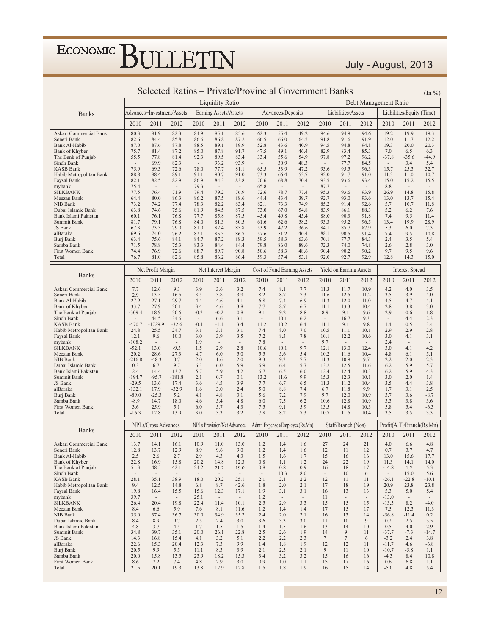#### July - August, 2013

|                                      | Selected Ratios – Private/Provincial Government Banks |                                  |                          |                          |                                    |                          |                          | $(\ln \frac{9}{6})$              |                                  |                          |                                  |                                |                       |                           |                          |
|--------------------------------------|-------------------------------------------------------|----------------------------------|--------------------------|--------------------------|------------------------------------|--------------------------|--------------------------|----------------------------------|----------------------------------|--------------------------|----------------------------------|--------------------------------|-----------------------|---------------------------|--------------------------|
|                                      |                                                       |                                  |                          |                          | <b>Liquidity Ratio</b>             |                          |                          |                                  |                                  |                          |                                  |                                | Debt Management Ratio |                           |                          |
| <b>Banks</b>                         |                                                       | Advances+Investment/Assets       |                          |                          | Earning Assets/Assets              |                          |                          | Advances/Deposits                |                                  |                          | Liabilities/Assets               |                                |                       | Liabilities/Equity (Time) |                          |
|                                      | 2010                                                  | 2011                             | 2012                     | 2010                     | 2011                               | 2012                     | 2010                     | 2011                             | 2012                             | 2010                     | 2011                             | 2012                           | 2010                  | 2011                      | 2012                     |
| Askari Commercial Bank               | 80.3                                                  | 81.9                             | 82.3                     | 84.9                     | 85.1                               | 85.6                     | 62.3                     | 55.4                             | 49.2                             | 94.6                     | 94.9                             | 94.6                           | 19.2                  | 19.9                      | 19.3                     |
| Soneri Bank                          | 82.6                                                  | 84.4                             | 85.8                     | 86.6                     | 86.8                               | 87.2                     | 66.5                     | 66.0                             | 64.5                             | 91.8                     | 91.6                             | 91.9                           | 12.0                  | 11.7                      | 12.2                     |
| Bank Al-Habib                        | 87.0                                                  | 87.6                             | 87.8                     | 88.5                     | 89.1                               | 89.9                     | 52.8                     | 43.6                             | 40.9                             | 94.5                     | 94.8                             | 94.8                           | 19.3                  | 20.0                      | 20.3                     |
| Bank of Khyber<br>The Bank of Punjab | 75.7<br>55.5                                          | 81.4<br>77.8                     | 87.2<br>81.4             | 85.0<br>92.3             | 87.8<br>89.5                       | 91.7<br>83.4             | 47.5<br>33.4             | 49.1<br>55.6                     | 46.4<br>54.9                     | 82.9<br>97.8             | 83.4<br>97.2                     | 85.3<br>96.2                   | 7.0<br>$-37.8$        | 6.5<br>$-35.6$            | 6.3<br>$-44.9$           |
| Sindh Bank                           | $\overline{\phantom{a}}$                              | 69.9                             | 82.3                     | $\overline{\phantom{a}}$ | 93.2                               | 93.9                     | $\overline{\phantom{a}}$ | 30.9                             | 48.3                             | $\overline{\phantom{a}}$ | 77.7                             | 84.5                           | $\sim$                | 3.4                       | 5.4                      |
| <b>KASB Bank</b>                     | 75.9                                                  | 69.3                             | 72.6                     | 78.0                     | 77.7                               | 81.1                     | 65.5                     | 53.9                             | 47.2                             | 93.6                     | 95.5                             | 96.3                           | 15.7                  | 25.3                      | 32.7                     |
| Habib Metropolitan Bank              | 88.8                                                  | 88.4                             | 89.1                     | 91.1                     | 90.7                               | 91.0                     | 73.3                     | 66.4                             | 53.7                             | 92.0                     | 91.7                             | 91.0                           | 11.3                  | 11.0                      | 10.7                     |
| Faysal Bank<br>mybank                | 82.1<br>75.4                                          | 82.5<br>$\overline{\phantom{a}}$ | 82.9<br>$\sim$           | 86.9<br>79.3             | 84.3<br>$\sim$                     | 83.8<br>$\sim$           | 70.6<br>65.8             | 68.8<br>$\overline{\phantom{a}}$ | 70.4<br>$\overline{\phantom{a}}$ | 93.5<br>87.7             | 93.6<br>$\overline{\phantom{a}}$ | 93.4<br>$\sim$                 | 15.0<br>8.8           | 15.2<br>$\sim$            | 15.5<br>$\sim$           |
| <b>SILKBANK</b>                      | 77.5                                                  | 76.4                             | 71.9                     | 79.4                     | 79.2                               | 76.9                     | 72.6                     | 78.7                             | 77.4                             | 95.3                     | 93.6                             | 93.9                           | 26.9                  | 14.8                      | 15.8                     |
| Meezan Bank                          | 64.4                                                  | 80.0                             | 86.3                     | 86.2                     | 87.5                               | 88.6                     | 44.4                     | 43.4                             | 39.7                             | 92.7                     | 93.0                             | 93.6                           | 13.0                  | 13.7                      | 15.4                     |
| NIB Bank<br>Dubai Islamic Bank       | 73.2<br>63.8                                          | 74.2<br>74.6                     | 77.4<br>75.6             | 78.3<br>81.9             | 82.2<br>84.5                       | 83.4<br>87.5             | 82.1<br>73.0             | 73.3<br>67.0                     | 74.9<br>54.8                     | 85.2<br>83.9             | 91.4<br>86.1                     | 92.6<br>88.3                   | 5.7<br>5.2            | 10.7<br>6.2               | 11.8<br>7.6              |
| Bank Islami Pakistan                 | 60.1                                                  | 76.1                             | 76.8                     | 77.7                     | 85.8                               | 87.5                     | 45.4                     | 49.8                             | 45.4                             | 88.0                     | 90.3                             | 91.8                           | 7.4                   | 9.5                       | 11.4                     |
| Summit Bank                          | 81.7                                                  | 79.1                             | 76.8                     | 84.0                     | 81.3                               | 80.5                     | 61.6                     | 62.6                             | 58.2                             | 93.3                     | 95.2                             | 96.5                           | 13.4                  | 19.9                      | 28.9                     |
| JS Bank                              | 67.3                                                  | 73.3                             | 79.0                     | 81.0                     | 82.4                               | 85.8                     | 53.9                     | 47.2                             | 36.6                             | 84.1                     | 85.7                             | 87.9                           | 5.3                   | 6.0                       | 7.3                      |
| alBaraka<br>Burj Bank                | 69.6<br>63.4                                          | 74.0<br>75.6                     | 76.2<br>84.1             | 82.1<br>84.7             | 85.3<br>87.2                       | 86.7<br>88.3             | 57.6<br>59.5             | 51.2<br>58.3                     | 46.4<br>63.6                     | 88.1<br>70.1             | 90.5<br>77.7                     | 91.4<br>84.3                   | 7.4<br>2.4            | 9.5<br>3.5                | 10.8<br>5.4              |
| Samba Bank                           | 71.5                                                  | 78.8                             | 75.3                     | 83.3                     | 84.4                               | 84.4                     | 79.8                     | 86.0                             | 89.6                             | 72.3                     | 74.0                             | 74.8                           | 2.6                   | 2.8                       | 3.0                      |
| First Women Bank                     | 74.4                                                  | 76.9                             | 72.6                     | 88.7                     | 89.7                               | 90.8                     | 50.6                     | 58.3                             | 48.6                             | 90.4                     | 90.2                             | 90.2                           | 9.7                   | 9.5                       | 9.6                      |
| Total                                | 76.7                                                  | 81.0                             | 82.6                     | 85.8                     | 86.2                               | 86.4                     | 59.3                     | 57.4                             | 53.1                             | 92.0                     | 92.7                             | 92.9                           | 12.8                  | 14.3                      | 15.0                     |
| <b>Banks</b>                         |                                                       | Net Profit Margin                |                          |                          | Net Interest Margin                |                          |                          |                                  | Cost of Fund Earning Assets      |                          | Yield on Earning Assets          |                                |                       | <b>Interest Spread</b>    |                          |
|                                      | 2010                                                  | 2011                             | 2012                     | 2010                     | 2011                               | 2012                     | 2010                     | 2011                             | 2012                             | 2010                     | 2011                             | 2012                           | 2010                  | 2011                      | 2012                     |
| Askari Commercial Bank               | 7.7                                                   | 12.6                             | 9.3                      | 3.9                      | 3.6                                | 3.2                      | 7.4                      | 8.1                              | 7.7                              | 11.3                     | 11.7                             | 10.9                           | 4.2                   | 4.0                       | 3.5                      |
| Soneri Bank<br>Bank Al-Habib         | 2.9<br>27.9                                           | 13.5<br>27.1                     | 16.5<br>29.7             | 3.5<br>4.4               | 3.8<br>4.6                         | 3.9<br>4.1               | 8.2<br>6.8               | 8.7<br>7.4                       | 7.3<br>6.9                       | 11.6<br>11.3             | 12.5<br>12.0                     | 11.2<br>11.0                   | 3.5<br>4.5            | 3.9<br>4.7                | 4.0<br>4.1               |
| Bank of Khyber                       | 33.7                                                  | 27.9                             | 30.1                     | 3.4                      | 4.6                                | 3.8                      | 7.7                      | 8.7                              | 6.7                              | 11.1                     | 13.3                             | 10.4                           | 2.8                   | 3.8                       | 3.0                      |
| The Bank of Punjab                   | $-309.4$                                              | 18.9                             | 30.6                     | $-0.3$                   | $-0.2$                             | 0.8                      | 9.1                      | 9.2                              | 8.8                              | 8.9                      | 9.1                              | 9.6                            | 2.9                   | 0.6                       | 1.8                      |
| Sindh Bank                           |                                                       | 44.5                             | 34.6                     | $\overline{\phantom{a}}$ | 6.6                                | 3.1                      | $\overline{\phantom{a}}$ | 10.1                             | 6.2                              | $\sim$                   | 16.7                             | 9.3                            | $\sim$                | 4.4                       | 2.3                      |
| KASB Bank<br>Habib Metropolitan Bank | $-470.7$<br>24.8                                      | $-1729.9$<br>25.5                | $-32.6$<br>24.7          | $-0.1$<br>3.1            | $-1.1$<br>3.1                      | 3.4<br>3.1               | 11.2<br>7.4              | 10.2<br>8.0                      | 6.4<br>7.0                       | 11.1<br>10.5             | 9.1<br>11.1                      | 9.8<br>10.1                    | 1.4<br>2.9            | 0.5<br>2.9                | 3.4<br>2.8               |
| Faysal Bank                          | 12.1                                                  | 9.6                              | 10.0                     | 3.0                      | 3.9                                | 3.5                      | 7.2                      | 8.3                              | 7.8                              | 10.1                     | 12.2                             | 10.6                           | 3.0                   | 4.1                       | 3.1                      |
| mybank                               | $-108.2$                                              | $\overline{\phantom{a}}$         | $\overline{\phantom{a}}$ | 1.9                      | $\sim$                             | $\overline{\phantom{a}}$ | 7.8                      | $\overline{\phantom{a}}$         | $\overline{\phantom{a}}$         | 9.7                      | $\sim$                           | $\sim$                         | 2.4                   | $\overline{\phantom{a}}$  | $\overline{\phantom{a}}$ |
| SILKBANK<br>Meezan Bank              | $-52.1$<br>20.2                                       | 13.0<br>28.6                     | $-9.3$<br>27.3           | 1.5<br>4.7               | 2.9<br>6.0                         | 2.8<br>5.0               | 10.6<br>5.5              | 10.1<br>5.6                      | 9.7<br>5.4                       | 12.1<br>10.2             | 13.0<br>11.6                     | 12.4<br>10.4                   | 3.0<br>4.8            | 4.1<br>6.1                | 4.2<br>5.1               |
| NIB Bank                             | $-216.8$                                              | $-48.3$                          | 0.7                      | 2.0                      | 1.6                                | 2.0                      | 9.3                      | 9.3                              | 7.7                              | 11.3                     | 10.9                             | 9.7                            | 2.2                   | 2.0                       | 2.3                      |
| Dubai Islamic Bank                   | 0.3                                                   | 6.7                              | 9.7                      | 6.3                      | 6.0                                | 5.9                      | 6.9                      | 6.4                              | 5.7                              | 13.2                     | 12.5                             | 11.6                           | 6.2                   | 5.9                       | 5.7                      |
| Bank Islami Pakistan<br>Summit Bank  | 2.4<br>$-194.7$                                       | 14.4<br>$-95.7$                  | 13.7<br>$-181.8$         | 5.7<br>2.1               | 5.9<br>0.7                         | 4.2<br>0.1               | 6.7<br>13.2              | 6.5<br>11.6                      | 6.0<br>9.9                       | 12.4<br>15.3             | 12.4<br>12.3                     | 10.3<br>10.1                   | 6.2<br>3.0            | 5.9<br>2.0                | 4.3<br>1.4               |
| JS Bank                              | $-29.5$                                               | 13.6                             | 17.4                     | 3.6                      | 4.5                                | 3.9                      | 7.7                      | 6.7                              | 6.5                              | 11.3                     | 11.2                             | 10.4                           | 3.5                   | 4.4                       | 3.8                      |
| alBaraka                             | $-132.1$                                              | 17.9                             | $-32.9$                  | 1.6                      | 3.0                                | 2.4                      | 5.0                      | 8.8                              | 7.4                              | 6.7                      | 11.8                             | 9.9                            | 1.7                   | 3.1                       | 2.5                      |
| Burj Bank<br>Samba Bank              | $-89.0$<br>$-8.9$                                     | $-25.3$<br>14.7                  | 5.2<br>18.0              | 4.1<br>4.6               | 4.8<br>5.4                         | 3.1<br>4.8               | 5.6<br>6.0               | 7.2<br>7.5                       | 7.9<br>6.2                       | 9.7<br>10.6              | 12.0<br>12.8                     | 10.9<br>10.9                   | 3.7<br>3.3            | 3.6<br>3.8                | $-8.7$<br>3.6            |
| First Women Bank                     | 3.6                                                   | 25.9                             | 5.1                      | 6.0                      | 5.7                                | 4.3                      | 7.5                      | 9.1                              | 5.9                              | 13.5                     | 14.8                             | 10.3                           | 5.8                   | 5.4                       | $-6.3$                   |
| Total                                | $-16.3$                                               | 12.8                             | 13.9                     | 3.0                      | 3.3                                | 3.2                      | 7.8                      | 8.2                              | 7.3                              | 10.7                     | 11.5                             | 10.4                           | 3.5                   | 3.5                       | 3.3                      |
|                                      |                                                       | NPLs/Gross Advances              |                          |                          | <b>NPLs Provision/Net Advances</b> |                          |                          |                                  | Admn Expenses/Employee(Rs.Mn)    |                          | Staff/Branch (Nos)               |                                |                       | Profit(A.T)/Branch(Rs.Mn) |                          |
| <b>Banks</b>                         | 2010                                                  | 2011                             | 2012                     | 2010                     | 2011                               | 2012                     | 2010                     | 2011                             | 2012                             | 2010                     | 2011                             | 2012                           | 2010                  | 2011                      | 2012                     |
| Askari Commercial Bank               | 13.7                                                  | 14.1                             | 16.1                     | 10.9                     | 11.0                               | 13.0                     | 1.2                      | 1.4                              | 1.6                              | 27                       | 24                               | 21                             | 4.0                   | 6.6                       | 4.8                      |
| Soneri Bank                          | 12.8                                                  | 13.7                             | 12.9                     | 8.9                      | 9.6                                | 9.0                      | 1.2                      | 1.4                              | 1.6                              | 12                       | 11                               | 12                             | 0.7                   | 3.1                       | 4.7                      |
| Bank Al-Habib                        | 2.5                                                   | 2.6                              | 2.7                      | 2.9                      | 4.3                                | 4.3                      | 1.5                      | 1.6                              | 1.7                              | 15                       | 16                               | 16                             | 13.0                  | 15.6                      | 17.7                     |
| Bank of Khyber<br>The Bank of Punjab | 22.8<br>51.3                                          | 16.9<br>48.5                     | 15.8<br>42.1             | 20.2<br>24.2             | 14.8<br>21.2                       | 12.3<br>19.0             | 0.8<br>0.8               | 1.1<br>0.8                       | 1.2<br>0.9                       | 24<br>16                 | 22<br>18                         | 19<br>17                       | 11.3<br>$-14.8$       | 14.1<br>1.2               | 14.0<br>5.3              |
| Sindh Bank                           | $\overline{\phantom{a}}$                              |                                  |                          |                          |                                    |                          | $\overline{\phantom{a}}$ | 10.3                             | 8.0                              | $\overline{\phantom{a}}$ | 10                               | 6                              | $\sim$                | 15.0                      | 5.6                      |
| <b>KASB Bank</b>                     | 28.1                                                  | 35.1                             | 38.9                     | 18.0                     | 20.2                               | 25.1                     | 2.1                      | 2.1                              | 2.2                              | 12                       | 11                               | 11                             | $-26.1$               | $-22.8$                   | $-10.1$                  |
| Habib Metropolitan Bank              | 9.4                                                   | 12.5                             | 14.8                     | 6.8                      | 8.7                                | 42.6                     | 1.8                      | 2.0                              | 2.1                              | 17                       | 18                               | 19                             | 20.9                  | 23.8                      | 23.8                     |
| Faysal Bank<br>mybank                | 19.8<br>39.7                                          | 16.4                             | 15.5                     | 15.6<br>25.1             | 12.3                               | 17.1                     | 1.9<br>1.2               | 3.1                              | 3.1                              | 16<br>11                 | 13<br>$\overline{\phantom{a}}$   | 13<br>$\overline{\phantom{a}}$ | 5.3<br>$-13.0$        | 5.0                       | 5.4                      |
| <b>SILKBANK</b>                      | 26.4                                                  | 20.4                             | 19.8                     | 22.4                     | 11.4                               | 10.1                     | 2.5                      | 2.9                              | 3.3                              | 15                       | 15                               | 15                             | $-13.3$               | 8.2                       | $-4.0$                   |
| Meezan Bank                          | 8.4                                                   | 6.6                              | 5.9                      | 7.6                      | 8.1                                | 11.6                     | 1.2                      | 1.4                              | 1.4                              | 17                       | 15                               | 17                             | 7.5                   | 12.3                      | 11.3                     |
| NIB Bank<br>Dubai Islamic Bank       | 35.0<br>8.4                                           | 37.4<br>8.9                      | 36.7<br>9.7              | 30.0                     | 34.9<br>2.4                        | 35.2<br>3.0              | 2.4                      | 2.0                              | 2.1                              | 16<br>11                 | 13<br>10                         | 14<br>9                        | $-56.8$               | $-11.4$<br>2.5            | 0.2                      |
| Bank Islami Pakistan                 | 4.8                                                   | 3.7                              | 4.5                      | 2.5<br>1.7               | 1.5                                | 1.5                      | 3.6<br>1.4               | 3.3<br>1.5                       | 3.0<br>1.6                       | 13                       | 14                               | 10                             | 0.2<br>0.5            | 4.0                       | 3.5<br>2.9               |
| Summit Bank                          | 34.8                                                  | 39.7                             | 35.1                     | 20.0                     | 26.1                               | 22.8                     | 2.5                      | 2.6                              | 1.9                              | 14                       | 9                                | 11                             | $-37.7$               | $-7.3$                    | $-14.7$                  |
| JS Bank                              | 14.3                                                  | 16.8                             | 15.4                     | 4.1                      | 3.2                                | 5.1                      | 2.2                      | 2.2                              | 2.3                              | $\tau$                   | $\tau$                           | 6                              | $-3.2$                | 2.4                       | 3.8                      |
| alBaraka<br>Burj Bank                | 22.6<br>20.5                                          | 15.3<br>9.9                      | 20.4<br>5.5              | 12.3<br>11.1             | 7.3<br>8.3                         | 9.9<br>3.9               | 1.4<br>2.1               | 1.8<br>2.3                       | 1.9<br>2.1                       | 12<br>9                  | 12<br>11                         | 11<br>10                       | $-11.7$<br>$-10.7$    | 4.6<br>$-5.8$             | $-6.8$<br>1.1            |
| Samba Bank                           | 20.0                                                  | 15.8                             | 13.5                     | 23.9                     | 18.2                               | 15.3                     | 3.4                      | 3.2                              | 3.2                              | 15                       | 16                               | 16                             | $-4.3$                | 8.4                       | 10.8                     |
| First Women Bank                     | 8.6                                                   | 7.2                              | 7.4                      | 4.8                      | 2.9                                | 3.0                      | 0.9                      | 1.0                              | 1.1                              | 15                       | 17                               | 16                             | 0.6                   | 6.8                       | 1.1                      |
| Total                                | 21.5                                                  | 20.1                             | 19.3                     | 13.8                     | 12.9                               | 12.8                     | 1.5                      | 1.8                              | 1.9                              | 16                       | 15                               | 14                             | $-5.0$                | 4.8                       | 5.4                      |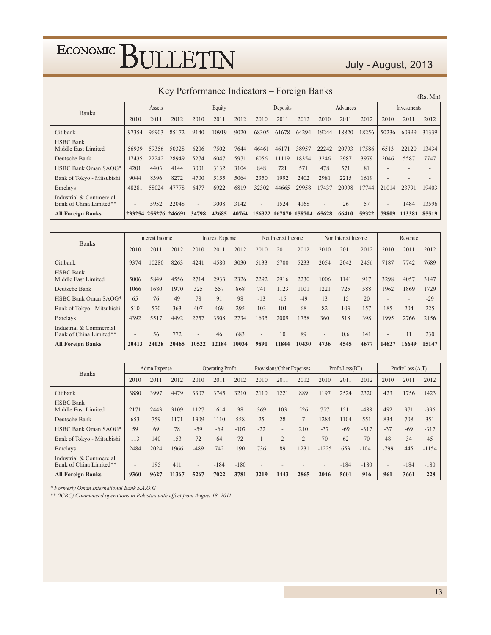### July - August, 2013

| Key Performance Indicators – Foreign Banks |  |  |
|--------------------------------------------|--|--|
|--------------------------------------------|--|--|

 $(Pc \text{ Mn})$ 

|                                                    |                        |                      |       |                          |        |       |                          |                      |       |                          |          |       |                          |             | (IAS. IVIII) |
|----------------------------------------------------|------------------------|----------------------|-------|--------------------------|--------|-------|--------------------------|----------------------|-------|--------------------------|----------|-------|--------------------------|-------------|--------------|
|                                                    | Assets<br><b>Banks</b> |                      |       |                          | Equity |       |                          | Deposits             |       |                          | Advances |       |                          | Investments |              |
|                                                    | 2010                   | 2011                 | 2012  | 2010                     | 2011   | 2012  | 2010                     | 2011                 | 2012  | 2010                     | 2011     | 2012  | 2010                     | 2011        | 2012         |
| Citibank                                           | 97354                  | 96903                | 85172 | 9140                     | 10919  | 9020  | 68305                    | 61678                | 64294 | 19244                    | 18820    | 18256 | 50236                    | 60399       | 31339        |
| <b>HSBC</b> Bank<br>Middle East Limited            | 56939                  | 59356                | 50328 | 6206                     | 7502   | 7644  | 46461                    | 46171                | 38957 | 22242                    | 20793    | 17586 | 6513                     | 22120       | 13434        |
| Deutsche Bank                                      | 17435                  | 22242                | 28949 | 5274                     | 6047   | 5971  | 6056                     | 11119                | 18354 | 3246                     | 2987     | 3979  | 2046                     | 5587        | 7747         |
| HSBC Bank Oman SAOG*                               | 4201                   | 4403                 | 4144  | 3001                     | 3132   | 3104  | 848                      | 721                  | 571   | 478                      | 571      | 81    |                          |             |              |
| Bank of Tokyo - Mitsubishi                         | 9044                   | 8396                 | 8272  | 4700                     | 5155   | 5064  | 2350                     | 1992                 | 2402  | 2981                     | 2215     | 1619  |                          |             |              |
| <b>Barclays</b>                                    | 48281                  | 58024                | 47778 | 6477                     | 6922   | 6819  | 32302                    | 44665                | 29958 | 17437                    | 20998    | 17744 | 21014                    | 23791       | 19403        |
| Industrial & Commercial<br>Bank of China Limited** |                        | 5952                 | 22048 | $\overline{\phantom{0}}$ | 3008   | 3142  | $\overline{\phantom{0}}$ | 1524                 | 4168  | $\overline{\phantom{a}}$ | 26       | 57    | $\overline{\phantom{a}}$ | 1484        | 13596        |
| <b>All Foreign Banks</b>                           |                        | 233254 255276 246691 |       | 34798                    | 42685  | 40764 |                          | 156322 167870 158704 |       | 65628                    | 66410    | 59322 | 79809                    | 113381      | 85519        |

| <b>Banks</b>                                       | Interest Income |       | <b>Interest Expense</b> |                          |       | Net Interest Income |                          |       |       | Non Interest Income |      |      | Revenue                  |                          |       |
|----------------------------------------------------|-----------------|-------|-------------------------|--------------------------|-------|---------------------|--------------------------|-------|-------|---------------------|------|------|--------------------------|--------------------------|-------|
|                                                    | 2010            | 2011  | 2012                    | 2010                     | 2011  | 2012                | 2010                     | 2011  | 2012  | 2010                | 2011 | 2012 | 2010                     | 2011                     | 2012  |
| Citibank                                           | 9374            | 10280 | 8263                    | 4241                     | 4580  | 3030                | 5133                     | 5700  | 5233  | 2054                | 2042 | 2456 | 7187                     | 7742                     | 7689  |
| <b>HSBC Bank</b><br>Middle East Limited            | 5006            | 5849  | 4556                    | 2714                     | 2933  | 2326                | 2292                     | 2916  | 2230  | 1006                | 1141 | 917  | 3298                     | 4057                     | 3147  |
| Deutsche Bank                                      | 1066            | 1680  | 1970                    | 325                      | 557   | 868                 | 741                      | 1123  | 1101  | 1221                | 725  | 588  | 1962                     | 1869                     | 1729  |
| HSBC Bank Oman SAOG*                               | 65              | 76    | 49                      | 78                       | 91    | 98                  | $-13$                    | $-15$ | $-49$ | 13                  | 15   | 20   | $\overline{\phantom{0}}$ | $\overline{\phantom{a}}$ | $-29$ |
| Bank of Tokyo - Mitsubishi                         | 510             | 570   | 363                     | 407                      | 469   | 295                 | 103                      | 101   | 68    | 82                  | 103  | 157  | 185                      | 204                      | 225   |
| <b>Barclays</b>                                    | 4392            | 5517  | 4492                    | 2757                     | 3508  | 2734                | 1635                     | 2009  | 1758  | 360                 | 518  | 398  | 1995                     | 2766                     | 2156  |
| Industrial & Commercial<br>Bank of China Limited** | $\qquad \qquad$ | 56    | 772                     | $\overline{\phantom{0}}$ | 46    | 683                 | $\overline{\phantom{a}}$ | 10    | 89    | $\qquad \qquad$     | 0.6  | 141  | $\overline{\phantom{0}}$ | 11                       | 230   |
| <b>All Foreign Banks</b>                           | 20413           | 24028 | 20465                   | 10522                    | 12184 | 10034               | 9891                     | 11844 | 10430 | 4736                | 4545 | 4677 | 14627                    | 16649                    | 15147 |

| <b>Banks</b>                                       | Admn Expense             |      | <b>Operating Profit</b> |                          |        |        | Provisions/Other Expenses |                          |                          | Profit / Loss (BT)       |        |         | Profit / Loss (A.T)      |        |         |
|----------------------------------------------------|--------------------------|------|-------------------------|--------------------------|--------|--------|---------------------------|--------------------------|--------------------------|--------------------------|--------|---------|--------------------------|--------|---------|
|                                                    | 2010                     | 2011 | 2012                    | 2010                     | 2011   | 2012   | 2010                      | 2011                     | 2012                     | 2010                     | 2011   | 2012    | 2010                     | 2011   | 2012    |
| Citibank                                           | 3880                     | 3997 | 4479                    | 3307                     | 3745   | 3210   | 2110                      | 1221                     | 889                      | 1197                     | 2524   | 2320    | 423                      | 1756   | 1423    |
| <b>HSBC</b> Bank<br>Middle East Limited            | 2171                     | 2443 | 3109                    | 1127                     | 1614   | 38     | 369                       | 103                      | 526                      | 757                      | 1511   | $-488$  | 492                      | 971    | $-396$  |
| Deutsche Bank                                      | 653                      | 759  | 1171                    | 1309                     | 1110   | 558    | 25                        | 28                       | $\overline{7}$           | 1284                     | 1104   | 551     | 834                      | 708    | 351     |
| HSBC Bank Oman SAOG*                               | 59                       | 69   | 78                      | $-59$                    | $-69$  | $-107$ | $-22$                     | $\overline{\phantom{0}}$ | 210                      | $-37$                    | $-69$  | $-317$  | $-37$                    | $-69$  | $-317$  |
| Bank of Tokyo - Mitsubishi                         | 113                      | 140  | 153                     | 72                       | 64     | 72     |                           | $\overline{2}$           | $\overline{2}$           | 70                       | 62     | 70      | 48                       | 34     | 45      |
| Barclays                                           | 2484                     | 2024 | 1966                    | $-489$                   | 742    | 190    | 736                       | 89                       | 1231                     | $-1225$                  | 653    | $-1041$ | $-799$                   | 445    | $-1154$ |
| Industrial & Commercial<br>Bank of China Limited** | $\overline{\phantom{a}}$ | 195  | 411                     | $\overline{\phantom{0}}$ | $-184$ | $-180$ | $\overline{\phantom{a}}$  |                          | $\overline{\phantom{a}}$ | $\overline{\phantom{a}}$ | $-184$ | $-180$  | $\overline{\phantom{a}}$ | $-184$ | $-180$  |
| <b>All Foreign Banks</b>                           | 9360                     | 9627 | 11367                   | 5267                     | 7022   | 3781   | 3219                      | 1443                     | 2865                     | 2046                     | 5601   | 916     | 961                      | 3661   | $-228$  |

\* Formerly Oman International Bank S.A.O.G

\*\* (ICBC) Commenced operations in Pakistan with effect from August 18, 2011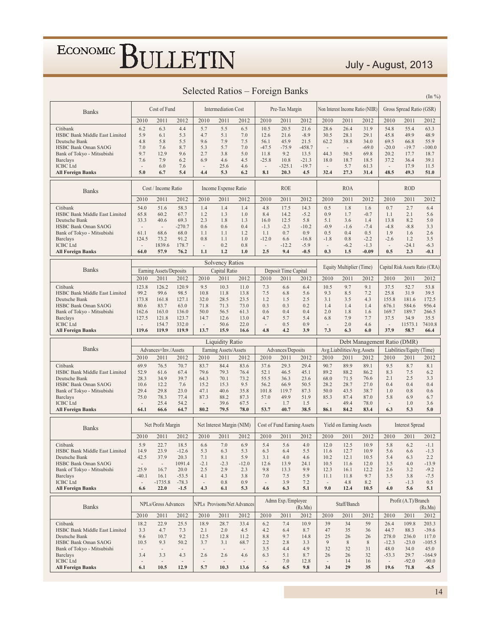### July - August, 2013

|  | Selected Ratios – Foreign Banks |  |  |
|--|---------------------------------|--|--|
|  |                                 |  |  |

|                                                          |                                  | Cost of Fund                     |                                  |                                 | <b>Intermediation Cost</b>      |                                    |                                 | Pre-Tax Margin                     |                  |                                  |                                  | Non Interest Income Ratio (NIIR) |                          | Gross Spread Ratio (GSR)  |                                 |
|----------------------------------------------------------|----------------------------------|----------------------------------|----------------------------------|---------------------------------|---------------------------------|------------------------------------|---------------------------------|------------------------------------|------------------|----------------------------------|----------------------------------|----------------------------------|--------------------------|---------------------------|---------------------------------|
| <b>Banks</b>                                             |                                  |                                  |                                  |                                 |                                 |                                    |                                 |                                    |                  |                                  |                                  |                                  |                          |                           |                                 |
| Citibank                                                 | 2010<br>6.2                      | 2011<br>6.3                      | 2012<br>4.4                      | 2010<br>5.7                     | 2011<br>5.5                     | 2012<br>6.5                        | 2010<br>10.5                    | 2011<br>20.5                       | 2012<br>21.6     | 2010<br>28.6                     | 2011<br>26.4                     | 2012<br>31.9                     | 2010<br>54.8             | 2011<br>55.4              | 2012<br>63.3                    |
| <b>HSBC Bank Middle East Limited</b>                     | 5.9                              | 6.1                              | 5.3                              | 4.7                             | 5.1                             | 7.0                                | 12.6                            | 21.6                               | $-8.9$           | 30.5                             | 28.1                             | 29.1                             | 45.8                     | 49.9                      | 48.9                            |
| Deutsche Bank                                            | 4.8                              | 5.8                              | 5.5                              | 9.6                             | 7.9                             | 7.5                                | 56.1                            | 45.9                               | 21.5             | 62.2                             | 38.8                             | 34.0                             | 69.5                     | 66.8                      | 55.9                            |
| <b>HSBC Bank Oman SAOG</b><br>Bank of Tokyo - Mitsubishi | 7.0<br>9.7                       | 7.6<br>12.9                      | 8.7<br>9.6                       | 5.3<br>2.7                      | 5.7<br>3.8                      | 7.0<br>5.0                         | $-47.5$<br>11.8                 | $-75.9$<br>9.2                     | $-458.7$<br>13.5 | $\overline{\phantom{a}}$<br>44.3 | $\overline{\phantom{a}}$<br>50.5 | $-69.0$<br>69.8                  | $-20.0$<br>20.2          | $-19.7$<br>17.7           | $-100.0$<br>18.7                |
| Barclays                                                 | 7.6                              | 7.9                              | 6.2                              | 6.9                             | 4.6                             | 4.5                                | $-25.8$                         | 10.8                               | $-21.3$          | 18.0                             | 18.7                             | 18.5                             | 37.2                     | 36.4                      | 39.1                            |
| <b>ICBC</b> Ltd                                          | $\overline{\phantom{a}}$<br>5.0  | 6.0<br>6.7                       | 7.6<br>5.4                       | $\overline{\phantom{a}}$<br>4.4 | 25.6<br>5.3                     | 4.6<br>6.2                         | $\overline{\phantom{a}}$<br>8.1 | $-325.1$<br>20.3                   | $-19.7$<br>4.5   | $\overline{\phantom{a}}$<br>32.4 | 5.7<br>27.3                      | 61.3<br>31.4                     | $\sim$<br>48.5           | 17.9<br>49.3              | 11.5<br>51.0                    |
| <b>All Foreign Banks</b>                                 |                                  |                                  |                                  |                                 |                                 |                                    |                                 |                                    |                  |                                  |                                  |                                  |                          |                           |                                 |
| <b>Banks</b>                                             |                                  | Cost / Income Ratio              |                                  |                                 | Income Expense Ratio            |                                    |                                 | <b>ROE</b>                         |                  |                                  | <b>ROA</b>                       |                                  |                          | <b>ROD</b>                |                                 |
|                                                          | 2010                             | 2011                             | 2012                             | 2010<br>1.4                     | 2011<br>1.4                     | 2012                               | 2010                            | 2011                               | 2012             | 2010                             | 2011                             | 2012                             | 2010                     | 2011                      | 2012                            |
| Citibank<br>HSBC Bank Middle East Limited                | 54.0<br>65.8                     | 51.6<br>60.2                     | 58.3<br>67.7                     | 1.2                             | 1.3                             | 1.4<br>1.0                         | 4.8<br>8.4                      | 17.5<br>14.2                       | 14.3<br>$-5.2$   | 0.5<br>0.9                       | 1.8<br>1.7                       | 1.6<br>$-0.7$                    | 0.7<br>1.1               | 2.7<br>2.1                | 6.4<br>5.6                      |
| Deutsche Bank                                            | 33.3                             | 40.6                             | 69.3                             | 2.3                             | 1.8                             | 1.3                                | 16.0                            | 12.5                               | 5.8              | 5.1                              | 3.6                              | 1.4                              | 13.8                     | 8.2                       | 5.0                             |
| HSBC Bank Oman SAOG<br>Bank of Tokyo - Mitsubishi        | $\sim$<br>61.1                   | $\overline{\phantom{a}}$<br>68.6 | $-270.7$<br>68.0                 | 0.6<br>1.1                      | 0.6<br>1.1                      | 0.4<br>1.2                         | $-1.3$<br>1.1                   | $-2.3$<br>0.7                      | $-10.2$<br>0.9   | $-0.9$<br>0.5                    | $-1.6$<br>0.4                    | $-7.4$<br>0.5                    | $-4.8$<br>1.9            | $-8.8$<br>1.6             | 3.3<br>2.6                      |
| <b>Barclays</b>                                          | 124.5                            | 73.2                             | 91.2                             | 0.8                             | 1.1                             | 1.0                                | $-12.0$                         | 6.6                                | $-16.8$          | $-1.8$                           | 0.8                              | $-2.2$                           | $-2.6$                   | 1.2                       | 3.5                             |
| <b>ICBC</b> Ltd                                          | $\sim$                           | 1839.6                           | 178.7                            | $\overline{\phantom{a}}$        | 0.2                             | 0.8                                | $\overline{\phantom{a}}$        | $-12.2$                            | $-5.9$           | $\overline{\phantom{a}}$         | $-6.2$                           | $-1.3$                           | $\overline{\phantom{a}}$ | $-24.1$                   | $-6.3$                          |
| <b>All Foreign Banks</b>                                 | 64.0                             | 57.9                             | 76.2                             | 1.1                             | 1.2                             | 1.0                                | 2.5                             | 9.4                                | $-0.5$           | 0.3                              | 1.5                              | $-0.09$                          | 0.5                      | 2.3                       | $-0.1$                          |
|                                                          |                                  |                                  |                                  |                                 | <b>Solvency Ratios</b>          |                                    |                                 |                                    |                  |                                  | Equity Multiplier (Time)         |                                  |                          |                           | Capital Risk Assets Ratio (CRA) |
| <b>Banks</b>                                             |                                  | Earning Assets/Deposits          |                                  |                                 | Capital Ratio                   |                                    |                                 | Deposit Time Capital               |                  |                                  |                                  |                                  |                          |                           |                                 |
| Citibank                                                 | 2010<br>123.8                    | 2011<br>126.2                    | 2012<br>120.9                    | 2010<br>9.5                     | 2011<br>10.3                    | 2012<br>11.0                       | 2010<br>7.3                     | 2011<br>6.6                        | 2012<br>6.4      | 2010<br>10.5                     | 2011<br>9.7                      | 2012<br>9.1                      | 2010<br>37.5             | 2011<br>52.7              | 2012<br>53.8                    |
| HSBC Bank Middle East Limited                            | 99.2                             | 99.6                             | 98.5                             | 10.8                            | 11.8                            | 13.8                               | 7.5                             | 6.8                                | 5.6              | 9.3                              | 8.5                              | 7.2                              | 25.8                     | 31.9                      | 39.5                            |
| Deutsche Bank                                            | 173.8                            | 161.8                            | 127.1                            | 32.0                            | 28.5                            | 23.5                               | 1.2                             | 1.5                                | 2.5              | 3.1                              | 3.5                              | 4.3                              | 155.8                    | 181.6                     | 172.5                           |
| HSBC Bank Oman SAOG<br>Bank of Tokyo - Mitsubishi        | 80.6<br>162.6                    | 83.7<br>163.0                    | 63.0<br>136.0                    | 71.8<br>50.0                    | 71.3<br>56.5                    | 73.0<br>61.3                       | 0.3<br>0.6                      | 0.3<br>0.4                         | 0.2<br>0.4       | 1.4<br>2.0                       | 1.4<br>1.8                       | 1.4<br>1.6                       | 676.1<br>169.7           | 584.6<br>189.7            | 956.4<br>266.5                  |
| <b>Barclays</b>                                          | 127.5                            | 121.8                            | 123.7                            | 14.7                            | 12.6                            | 13.0                               | 4.7                             | 5.7                                | 5.4              | 6.8                              | 7.9                              | 7.7                              | 37.5                     | 34.9                      | 35.5                            |
| <b>ICBC</b> Ltd                                          | $\sim$                           | 154.7                            | 332.0                            | $\sim$                          | 50.6                            | 22.0                               | $\overline{\phantom{a}}$        | 0.5                                | 0.9              |                                  | 2.0                              | 4.6                              | $\sim$                   | 11573.1                   | 7410.8                          |
| <b>All Foreign Banks</b>                                 | 119.6                            | 119.9                            | 119.9                            | 13.7                            | 15.9                            | 16.6                               | 4.8                             | 4.2                                | 3.9              | 7.3                              | 6.3                              | 6.0                              | 37.9                     | 58.7                      | 66.4                            |
|                                                          |                                  |                                  |                                  |                                 |                                 |                                    |                                 |                                    |                  |                                  |                                  |                                  |                          |                           |                                 |
|                                                          |                                  |                                  |                                  |                                 | <b>Liquidity Ratio</b>          |                                    |                                 |                                    |                  |                                  |                                  | Debt Management Ratio (DMR)      |                          |                           |                                 |
| <b>Banks</b>                                             |                                  | Advances+Inv./Assets             |                                  |                                 | Earning Assets/Assets           |                                    |                                 | Advances/Deposits                  |                  |                                  | Avg.Liabilities/Avg.Assets       |                                  |                          | Liabilities/Equity (Time) |                                 |
|                                                          | 2010                             | 2011                             | 2012                             | 2010                            | 2011                            | 2012                               | 2010                            | 2011                               | 2012             | 2010                             | 2011                             | 2012                             | 2010                     | 2011                      | 2012                            |
| Citibank<br>HSBC Bank Middle East Limited                | 69.9<br>52.9                     | 76.5<br>61.6                     | 70.7<br>67.4                     | 83.7<br>79.6                    | 84.4<br>79.3                    | 83.6<br>76.4                       | 37.6<br>52.1                    | 29.3<br>46.5                       | 29.4<br>45.1     | 90.7<br>89.2                     | 89.9<br>88.2                     | 89.1<br>86.2                     | 9.5<br>8.3               | 8.7<br>7.5                | 8.1<br>6.2                      |
| Deutsche Bank                                            | 28.3                             | 34.9                             | 39.7                             | 64.3                            | 70.1                            | 73.2                               | 55.5                            | 36.3                               | 23.6             | 68.0                             | 71.5                             | 76.6                             | 2.1                      | 2.5                       | 3.3                             |
| HSBC Bank Oman SAOG                                      | 10.6                             | 12.2                             | 7.6                              | 15.2                            | 15.3                            | 9.5                                | 56.2                            | 66.9                               | 50.5             | 28.2                             | 28.7                             | 27.0                             | 0.4                      | 0.4                       | 0.4                             |
| Bank of Tokyo - Mitsubishi<br><b>Barclays</b>            | 29.4<br>75.0                     | 29.8<br>78.3                     | 23.0<br>77.4                     | 47.1<br>87.3                    | 40.6<br>88.2                    | 35.8<br>87.3                       | 101.8<br>57.0                   | 119.7<br>49.9                      | 87.3<br>51.9     | 50.0<br>85.3                     | 43.5<br>87.4                     | 38.7<br>87.0                     | 1.0<br>5.8               | 0.8<br>6.9                | 0.6<br>6.7                      |
| <b>ICBC Ltd</b>                                          | $\overline{\phantom{a}}$         | 25.4                             | 54.2                             | $\overline{\phantom{a}}$        | 39.6                            | 67.5                               | $\overline{\phantom{a}}$        | 1.7                                | 1.5              | $\overline{\phantom{a}}$         | 49.4                             | 78.0                             | $\overline{a}$           | 1.0                       | 3.6                             |
| <b>All Foreign Banks</b>                                 | 64.1                             | 66.6                             | 64.7                             | 80.2                            | 79.5                            | 78.0                               | 53.7                            | 40.7                               | 38.5             | 86.1                             | 84.2                             | 83.4                             | 6.3                      | 5.3                       | 5.0                             |
| <b>Banks</b>                                             |                                  | Net Profit Margin                |                                  |                                 | Net Interest Margin (NIM)       |                                    |                                 | <b>Cost of Fund Earning Assets</b> |                  |                                  | Yield on Earning Assets          |                                  |                          | <b>Interest Spread</b>    |                                 |
|                                                          | 2010                             | 2011                             | 2012                             | 2010                            | 2011                            | 2012                               | 2010                            | 2011                               | 2012             | 2010                             | 2011                             | 2012                             | 2010                     | 2011                      | 2012                            |
| Citibank                                                 | 5.9                              | 22.7                             | 18.5                             | 6.6                             | 7.0                             | 6.9                                | 5.4                             | 5.6                                | 4.0              | 12.0                             | 12.5                             | 10.9                             | 5.8                      | 6.2                       | $-1.1$                          |
| HSBC Bank Middle East Limited                            | 14.9                             | 23.9<br>37.9                     | $-12.6$                          | 5.3                             | 6.3                             | 5.3                                | 6.3                             | 6.4                                | 5.5              | 11.6                             | 12.7                             | 10.9                             | 5.6                      | 6.6<br>6.3                | $-1.3$<br>2.2                   |
| Deutsche Bank<br>HSBC Bank Oman SAOG                     | 42.5<br>$\overline{\phantom{a}}$ | $\overline{\phantom{a}}$         | 20.3<br>1091.4                   | $7.1\,$<br>$-2.1$               | $8.1\,$<br>$-2.3$               | 5.9<br>$-12.0$                     | 3.1<br>12.6                     | $4.0\,$<br>13.9                    | 4.6<br>24.1      | 10.2<br>10.5                     | 12.1<br>11.6                     | 10.5<br>12.0                     | 5.4<br>3.5               | 4.0                       | $-13.9$                         |
| Bank of Tokyo - Mitsubishi                               | 25.9                             | 16.7                             | 20.0                             | 2.5                             | 2.9                             | 2.3                                | 9.8                             | 13.3                               | 9.9              | 12.3                             | 16.1                             | 12.2                             | 2.6                      | 3.2                       | $-9.2$                          |
| <b>Barclays</b><br><b>ICBC</b> Ltd                       | $-40.1$<br>$\sim$                | 16.1<br>$-1735.8$                | $-53.5$<br>$-78.3$               | 4.1<br>$\overline{\phantom{a}}$ | 4.3<br>0.8                      | 3.8<br>0.9                         | 7.0<br>$\overline{\phantom{a}}$ | 7.5<br>3.9                         | 5.9<br>7.2       | 11.1<br>$\overline{\phantom{a}}$ | 11.8<br>4.8                      | 9.7<br>8.2                       | 3.5<br>$\sim$            | 3.8<br>$-1.3$             | $-7.5$<br>0.5                   |
| <b>All Foreign Banks</b>                                 | 6.6                              | 22.0                             | $-1.5$                           | 4.3                             | 6.1                             | 5.3                                | 4.6                             | 6.3                                | 5.1              | 9.0                              | 12.4                             | 10.5                             | 4.0                      | 5.6                       | 5.1                             |
|                                                          |                                  |                                  |                                  |                                 |                                 |                                    |                                 | Admn Exp./Employee                 |                  |                                  |                                  |                                  |                          | Profit (A.T)/Branch       |                                 |
| <b>Banks</b>                                             |                                  | NPLs/Gross Advances              |                                  |                                 |                                 | <b>NPLs</b> Provisons/Net Advances |                                 |                                    | (Rs.Mn)          |                                  | Staff/Banch                      |                                  |                          |                           | (Rs.Mn)                         |
| Citibank                                                 | 2010<br>18.2                     | 2011<br>22.9                     | 2012<br>25.5                     | 2010<br>18.9                    | 2011                            | 2012<br>33.4                       | 2010                            | 2011<br>7.4                        | 2012<br>10.9     | 2010<br>39                       | 2011<br>34                       | 2012<br>59                       | 2010                     | 2011                      | 2012<br>203.3                   |
| HSBC Bank Middle East Limited                            | 3.3                              | 4.7                              | 7.3                              | 2.1                             | 28.7<br>2.0                     | 4.5                                | 6.2<br>4.2                      | 6.4                                | 8.7              | 47                               | 35                               | 36                               | 26.4<br>44.7             | 109.8<br>88.3             | $-39.6$                         |
| Deutsche Bank                                            | 9.6                              | 10.7                             | 9.2                              | 12.5                            | 12.8                            | 11.2                               | 8.8                             | 9.7                                | 14.8             | 25                               | 26                               | 26                               | 278.0                    | 236.0                     | 117.0                           |
| <b>HSBC Bank Oman SAOG</b><br>Bank of Tokyo - Mitsubishi | 10.5<br>$\overline{\phantom{a}}$ | 9.3<br>$\overline{\phantom{a}}$  | 50.2                             | 3.7<br>$\overline{\phantom{a}}$ | 3.1<br>$\overline{\phantom{a}}$ | 68.7<br>$\overline{\phantom{a}}$   | 2.2<br>3.5                      | 2.8<br>4.4                         | 3.3<br>4.9       | 9<br>32                          | 8<br>32                          | 8<br>31                          | $-12.3$<br>48.0          | $-23.0$<br>34.0           | $-105.5$<br>45.0                |
| <b>Barclays</b>                                          | 3.4                              | 3.3                              | 4.3                              | 2.6                             | 2.6                             | 4.6                                | 6.3                             | 5.1                                | 8.7              | 26                               | 26                               | 32                               | $-53.3$                  | 29.7                      | $-164.9$                        |
| <b>ICBC</b> Ltd<br><b>All Foreign Banks</b>              | $\sim$<br>6.1                    | $\overline{\phantom{a}}$<br>10.5 | $\overline{\phantom{a}}$<br>12.9 | $\overline{\phantom{a}}$<br>5.7 | $\sim$<br>10.3                  | $\overline{\phantom{a}}$<br>13.6   | $\overline{\phantom{a}}$<br>5.6 | 7.0<br>6.5                         | 12.8<br>9.8      | $\overline{\phantom{a}}$<br>34   | 14<br>29                         | 16<br>35                         | $\sim$<br>19.6           | $-92.0$<br>71.8           | $-90.0$<br>$-6.5$               |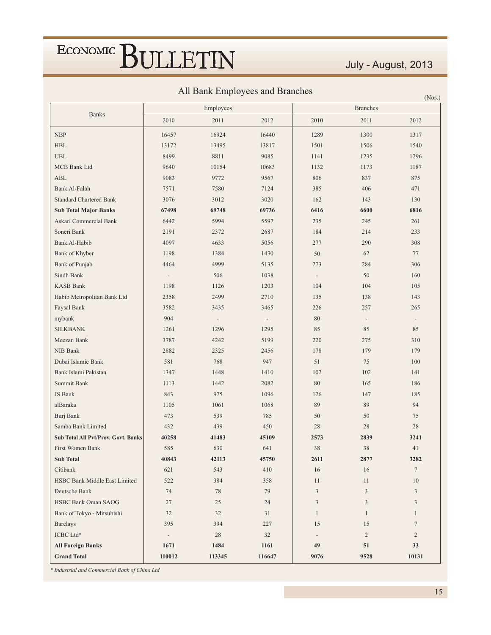### July - August, 2013

 $(N_{\alpha\alpha})$ 

All Bank Employees and Branches

|                                            |                          | Employees                |                          |                          | <b>Branches</b>          | 11100.         |
|--------------------------------------------|--------------------------|--------------------------|--------------------------|--------------------------|--------------------------|----------------|
| <b>Banks</b>                               |                          |                          |                          |                          |                          |                |
|                                            | 2010                     | 2011                     | 2012                     | 2010                     | 2011                     | 2012           |
| <b>NBP</b>                                 | 16457                    | 16924                    | 16440                    | 1289                     | 1300                     | 1317           |
| HBL                                        | 13172                    | 13495                    | 13817                    | 1501                     | 1506                     | 1540           |
| <b>UBL</b>                                 | 8499                     | 8811                     | 9085                     | 1141                     | 1235                     | 1296           |
| MCB Bank Ltd                               | 9640                     | 10154                    | 10683                    | 1132                     | 1173                     | 1187           |
| <b>ABL</b>                                 | 9083                     | 9772                     | 9567                     | 806                      | 837                      | 875            |
| Bank Al-Falah                              | 7571                     | 7580                     | 7124                     | 385                      | 406                      | 471            |
| <b>Standard Chartered Bank</b>             | 3076                     | 3012                     | 3020                     | 162                      | 143                      | 130            |
| <b>Sub Total Major Banks</b>               | 67498                    | 69748                    | 69736                    | 6416                     | 6600                     | 6816           |
| Askari Commercial Bank                     | 6442                     | 5994                     | 5597                     | 235                      | 245                      | 261            |
| Soneri Bank                                | 2191                     | 2372                     | 2687                     | 184                      | 214                      | 233            |
| Bank Al-Habib                              | 4097                     | 4633                     | 5056                     | 277                      | 290                      | 308            |
| Bank of Khyber                             | 1198                     | 1384                     | 1430                     | 50                       | 62                       | 77             |
| Bank of Punjab                             | 4464                     | 4999                     | 5135                     | 273                      | 284                      | 306            |
| Sindh Bank                                 | $\overline{a}$           | 506                      | 1038                     | $\overline{\phantom{a}}$ | 50                       | 160            |
| <b>KASB Bank</b>                           | 1198                     | 1126                     | 1203                     | 104                      | 104                      | 105            |
| Habib Metropolitan Bank Ltd                | 2358                     | 2499                     | 2710                     | 135                      | 138                      | 143            |
| Faysal Bank                                | 3582                     | 3435                     | 3465                     | 226                      | 257                      | 265            |
| mybank                                     | 904                      | $\overline{\phantom{a}}$ | $\overline{\phantom{a}}$ | 80                       | $\overline{\phantom{a}}$ |                |
| <b>SILKBANK</b>                            | 1261                     | 1296                     | 1295                     | 85                       | 85                       | 85             |
| Meezan Bank                                | 3787                     | 4242                     | 5199                     | 220                      | 275                      | 310            |
| NIB Bank                                   | 2882                     | 2325                     | 2456                     | 178                      | 179                      | 179            |
| Dubai Islamic Bank                         | 581                      | 768                      | 947                      | 51                       | 75                       | 100            |
| Bank Islami Pakistan                       | 1347                     | 1448                     | 1410                     | 102                      | 102                      | 141            |
| Summit Bank                                | 1113                     | 1442                     | 2082                     | 80                       | 165                      | 186            |
| JS Bank                                    | 843                      | 975                      | 1096                     | 126                      | 147                      | 185            |
| alBaraka                                   | 1105                     | 1061                     | 1068                     | 89                       | 89                       | 94             |
| Burj Bank                                  | 473                      | 539                      | 785                      | 50                       | 50                       | 75             |
| Samba Bank Limited                         | 432                      | 439                      | 450                      | 28                       | 28                       | 28             |
| <b>Sub Total All Pvt/Prov. Govt. Banks</b> | 40258                    | 41483                    | 45109                    | 2573                     | 2839                     | 3241           |
| First Women Bank                           | 585                      | 630                      | 641                      | 38                       | 38                       | 41             |
| <b>Sub Total</b>                           | 40843                    | 42113                    | 45750                    | 2611                     | 2877                     | 3282           |
| Citibank                                   | 621                      | 543                      | 410                      | 16                       | 16                       | $\tau$         |
| HSBC Bank Middle East Limited              | 522                      | 384                      | 358                      | 11                       | 11                       | 10             |
| Deutsche Bank                              | 74                       | $78\,$                   | 79                       | 3                        | $\mathfrak{Z}$           | 3              |
| HSBC Bank Oman SAOG                        | 27                       | 25                       | 24                       | 3                        | 3                        | 3              |
| Bank of Tokyo - Mitsubishi                 | 32                       | 32                       | 31                       | $\mathbf{1}$             | $\mathbf{1}$             | $\mathbf{1}$   |
| <b>Barclays</b>                            | 395                      | 394                      | 227                      | 15                       | 15                       | $\tau$         |
| ICBC Ltd*                                  | $\overline{\phantom{a}}$ | $28\,$                   | 32                       |                          | $\sqrt{2}$               | $\overline{2}$ |
| <b>All Foreign Banks</b>                   | 1671                     | 1484                     | 1161                     | 49                       | 51                       | 33             |
| <b>Grand Total</b>                         | 110012                   | 113345                   | 116647                   | 9076                     | 9528                     | 10131          |

\* Industrial and Commercial Bank of China Ltd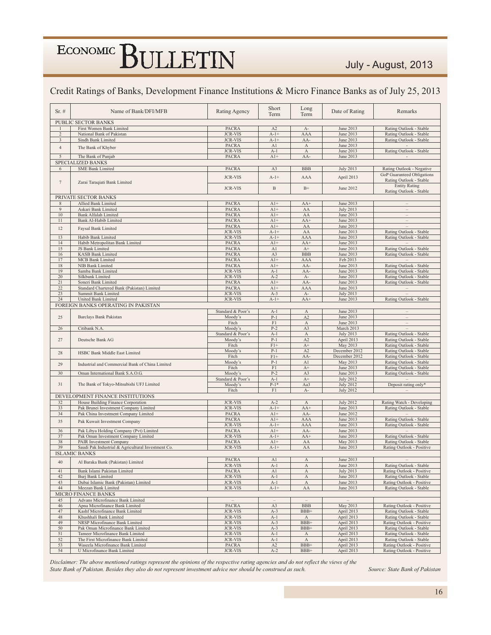#### Credit Ratings of Banks, Development Finance Institutions & Micro Finance Banks as of July 25, 2013

| $Sr. \#$        | Name of Bank/DFI/MFB                                      | Rating Agency                    | Short<br>Term     | Long<br>Term                | Date of Rating                  | Remarks                                               |
|-----------------|-----------------------------------------------------------|----------------------------------|-------------------|-----------------------------|---------------------------------|-------------------------------------------------------|
|                 |                                                           |                                  |                   |                             |                                 |                                                       |
|                 | PUBLIC SECTOR BANKS<br>First Women Bank Limited           | <b>PACRA</b>                     | A2                | $A-$                        | June 2013                       | Rating Outlook - Stable                               |
| $\overline{2}$  | National Bank of Pakistan                                 | <b>JCR-VIS</b>                   | $A-1+$            | AAA                         | June 2013                       | Rating Outlook - Stable                               |
| 3               | Sindh Bank Limited                                        | <b>JCR-VIS</b>                   | $A - 1 +$         | AA-                         | June 2013                       | Rating Outlook - Stable                               |
| $\overline{4}$  | The Bank of Khyber                                        | <b>PACRA</b>                     | A1                | $\boldsymbol{\rm{A}}$       | June 2013                       |                                                       |
|                 |                                                           | <b>JCR-VIS</b>                   | $A-1$             | $\boldsymbol{A}$            | June 2013                       | Rating Outlook - Stable                               |
| 5               | The Bank of Punjab                                        | <b>PACRA</b>                     | $A1+$             | AA-                         | June 2013                       |                                                       |
|                 | <b>SPECIALIZED BANKS</b>                                  |                                  |                   |                             |                                 |                                                       |
| 6               | <b>SME Bank Limited</b>                                   | <b>PACRA</b>                     | A3                | <b>BBB</b>                  | <b>July 2013</b>                | Rating Outlook - Negative                             |
|                 |                                                           | <b>JCR-VIS</b>                   | $A-1+$            | AAA                         | April 2013                      | GoP Guaranteed Obligations<br>Rating Outlook - Stable |
| $7\phantom{.0}$ | Zarai Taraqiati Bank Limited                              |                                  |                   |                             |                                 | <b>Entity Rating</b>                                  |
|                 |                                                           | <b>JCR-VIS</b>                   | $\, {\bf B}$      | $B+$                        | June 2012                       | Rating Outlook - Stable                               |
|                 | PRIVATE SECTOR BANKS                                      |                                  |                   |                             |                                 |                                                       |
| 8               | Allied Bank Limited                                       | <b>PACRA</b>                     | $A1+$             | $AA+$                       | June 2013                       | $\hspace{1.0cm} - \hspace{1.0cm}$                     |
| 9               | Askari Bank Limited                                       | <b>PACRA</b>                     | $A1+$             | AA                          | <b>July 2013</b>                | $\overline{\phantom{0}}$                              |
| 10              | <b>Bank Alfalah Limited</b>                               | <b>PACRA</b>                     | $A1+$             | AA                          | June 2013                       | $\overline{a}$                                        |
| 11              | Bank Al-Habib Limited                                     | <b>PACRA</b>                     | $A1+$             | $AA+$                       | June 2013                       | $\qquad \qquad -$                                     |
| 12              | Faysal Bank Limited                                       | <b>PACRA</b><br><b>JCR-VIS</b>   | $A1+$<br>$A-1+$   | ${\rm AA}$<br>${\rm AA}$    | June 2013<br>June 2013          | Rating Outlook - Stable                               |
| 13              | Habib Bank Limited                                        | <b>JCR-VIS</b>                   | $A-1+$            | AAA                         | June 2013                       | Rating Outlook - Stable                               |
| 14              | Habib Metropolitan Bank Limited                           | <b>PACRA</b>                     | $A1+$             | $AA+$                       | June 2013                       |                                                       |
| 15              | JS Bank Limited                                           | <b>PACRA</b>                     | A1                | $A+$                        | June 2013                       | Rating Outlook - Stable                               |
| 16              | <b>KASB Bank Limited</b>                                  | <b>PACRA</b>                     | A3                | <b>BBB</b>                  | June 2013                       | Rating Outlook - Stable                               |
| 17              | <b>MCB</b> Bank Limited                                   | <b>PACRA</b>                     | $A1+$             | AAA                         | Feb 2013                        |                                                       |
| 18<br>19        | NIB Bank Limited                                          | <b>PACRA</b><br><b>JCR-VIS</b>   | $A1+$<br>$A-1$    | AA-<br>AA-                  | June 2013<br>June 2013          | Rating Outlook - Stable<br>Rating Outlook - Stable    |
| 20              | Samba Bank Limited<br>Silkbank Limited                    | <b>JCR-VIS</b>                   | $A-2$             | $A-$                        | June 2013                       | Rating Outlook - Stable                               |
| 21              | Soneri Bank Limited                                       | <b>PACRA</b>                     | $A1+$             | AA-                         | June 2013                       | Rating Outlook - Stable                               |
| 22              | Standard Chartered Bank (Pakistan) Limited                | <b>PACRA</b>                     | $A1+$             | AAA                         | June 2013                       | $\!-$                                                 |
| 23              | Summit Bank Limited                                       | <b>JCR-VIS</b>                   | $A-3$             | $A-$                        | <b>July 2013</b>                |                                                       |
| 24              | United Bank Limited                                       | <b>JCR-VIS</b>                   | $A-1+$            | $AA+$                       | June 2013                       | Rating Outlook - Stable                               |
|                 | FOREIGN BANKS OPERATING IN PAKISTAN                       |                                  |                   |                             |                                 |                                                       |
|                 |                                                           | Standard & Poor's                | $A-1$             | $\boldsymbol{A}$            | June 2013                       |                                                       |
| 25              | Barclays Bank Pakistan                                    | Moody's                          | $P-1$<br>$\rm F1$ | A2                          | June 2013                       | $\equiv$                                              |
| 26              | Citibank N.A.                                             | Fitch<br>Moody's                 | $P-2$             | $\boldsymbol{\rm{A}}$<br>A3 | June 2013<br>March 2013         | $\overline{a}$                                        |
|                 |                                                           | Standard & Poor's                | $A-1$             | A                           | <b>July 2013</b>                | Rating Outlook - Stable                               |
| 27              | Deutsche Bank AG                                          | Moody's                          | $P-1$             | A2                          | April 2013                      | Rating Outlook - Stable                               |
|                 |                                                           | Fitch                            | $F1+$             | $A+$                        | May 2013                        | Rating Outlook - Stable                               |
| 28              | HSBC Bank Middle East Limited                             | Moody's                          | $P-1$             | A2                          | December 2012                   | Rating Outlook - Stable                               |
|                 |                                                           | Fitch                            | $F1+$             | AA-                         | December 2012                   | Rating Outlook - Stable                               |
| 29              | Industrial and Commercial Bank of China Limited           | Moody's<br>Fitch                 | $P-1$<br>F1       | A1<br>$A+$                  | May 2013<br>June 2013           | Rating Outlook - Stable<br>Rating Outlook - Stable    |
| 30              | Oman International Bank S.A.O.G.                          | Moody's                          | $P-2$             | A3                          | June 2013                       | Rating Outlook - Stable                               |
|                 |                                                           | Standard & Poor's                | $A-1$             | $A+$                        | <b>July 2012</b>                |                                                       |
| 31              | The Bank of Tokyo-Mitsubishi UFJ Limited                  | Moody's                          | $P-1*$            | Aa3                         | <b>July 2012</b>                | Deposit rating only*                                  |
|                 |                                                           | Fitch                            | $\rm F1$          | $A-$                        | <b>July 2012</b>                | $\overline{\phantom{0}}$                              |
|                 | DEVELOPMENT FINANCE INSTITUTIONS                          |                                  |                   |                             |                                 |                                                       |
| 32              | House Building Finance Corporation                        | <b>JCR-VIS</b>                   | $A-2$             | $\boldsymbol{A}$            | <b>July 2012</b>                | Rating Watch - Developing                             |
| 33              | Pak Brunei Investment Company Limited                     | <b>JCR-VIS</b>                   | $A-1+$            | $AA+$                       | June 2013                       | Rating Outlook - Stable                               |
| 34              | Pak China Investment Company Limited                      | <b>PACRA</b><br><b>PACRA</b>     | $A1+$<br>$A1+$    | AA-<br>AAA                  | June 2012<br>June 2013          | Rating Outlook - Stable                               |
| 35              | Pak Kuwait Investment Company                             | <b>JCR-VIS</b>                   | $A-1+$            | AAA                         | June 2013                       | Rating Outlook - Stable                               |
| 36              | Pak Libya Holding Company (Pvt) Limited                   | <b>PACRA</b>                     | $A1+$             | AA-                         | June 2013                       |                                                       |
| 37              | Pak Oman Investment Company Limited                       | <b>JCR-VIS</b>                   | $A-1+$            | $AA+$                       | June 2013                       | Rating Outlook - Stable                               |
| 38              | PAIR Investment Company                                   | <b>PACRA</b>                     | $A1+$             | AA                          | May 2013                        | Rating Outlook - Stable                               |
| 39              | Saudi Pak Industrial & Agricultural Investment Co.        | <b>JCR-VIS</b>                   | $A - 1 +$         | AA                          | June 2013                       | Rating Outlook - Positive                             |
|                 | <b>ISLAMIC BANKS</b>                                      |                                  |                   |                             |                                 |                                                       |
| 40              | Al Baraka Bank (Pakistan) Limited                         | PACRA<br><b>JCR-VIS</b>          | A1<br>$A-1$       | A<br>A                      | June 2013<br>June 2013          | Rating Outlook - Stable                               |
| 41              | Bank Islami Pakistan Limited                              | <b>PACRA</b>                     | A <sub>1</sub>    | $\boldsymbol{A}$            | <b>July 2013</b>                | Rating Outlook - Positive                             |
| 42              | Burj Bank Limited                                         | <b>JCR-VIS</b>                   | $A-1$             | $\boldsymbol{\rm{A}}$       | June 2013                       | Rating Outlook - Stable                               |
| 43              | Dubai Islamic Bank (Pakistan) Limited                     | <b>JCR-VIS</b>                   | $A-1$             | A                           | June 2013                       | Rating Outlook - Positive                             |
| 44              | Meezan Bank Limited                                       | <b>JCR-VIS</b>                   | $A-1+$            | AA                          | June 2013                       | Rating Outlook - Stable                               |
|                 | <b>MICRO FINANCE BANKS</b>                                |                                  |                   |                             |                                 |                                                       |
| 45              | Advans Microfinance Bank Limited                          | $\mathcal{L} = \mathcal{L}$      | $\equiv$          | $\overline{\phantom{a}}$    | $\hspace{0.1mm}-\hspace{0.1mm}$ |                                                       |
| 46              | Apna Microfinance Bank Limited                            | PACRA                            | A3                | <b>BBB</b>                  | May 2013                        | Rating Outlook - Positive                             |
| 47<br>48        | Kashf Microfinance Bank Limited<br>Khushhali Bank Limited | <b>JCR-VIS</b><br><b>JCR-VIS</b> | $A-3$<br>$A-1$    | $BBB+$<br>A                 | April 2013<br>April 2013        | Rating Outlook - Stable<br>Rating Outlook - Stable    |
| 49              | NRSP Microfinance Bank Limited                            | <b>JCR-VIS</b>                   | $A-3$             | BBB+                        | April 2013                      | Rating Outlook - Positive                             |
| 50              | Pak Oman Microfinance Bank Limited                        | <b>JCR-VIS</b>                   | $A-3$             | $BBB+$                      | April 2013                      | Rating Outlook - Stable                               |
| 51              | Tameer Microfinance Bank Limited                          | <b>JCR-VIS</b>                   | $A-1$             | $\boldsymbol{A}$            | April 2013                      | Rating Outlook - Stable                               |
| 52              | The First Microfinance Bank Limited                       | <b>JCR-VIS</b>                   | $A-1$             | $\boldsymbol{\rm{A}}$       | April 2013                      | Rating Outlook - Stable                               |
| 53              | Waseela Microfinance Bank Limited                         | PACRA                            | A2                | $BBB+$                      | April 2013                      | Rating Outlook - Positive                             |
| 54              | U Microfinance Bank Limited                               | <b>JCR-VIS</b>                   | $A-2$             | BBB+                        | April 2013                      | Rating Outlook - Positive                             |

Disclaimer: The above mentioned ratings represent the opinions of the respective rating agencies and do not reflect the views of the State Bank of Pakistan. Besides they also do not represent investment advice nor should be construed as such.

Source: State Bank of Pakistan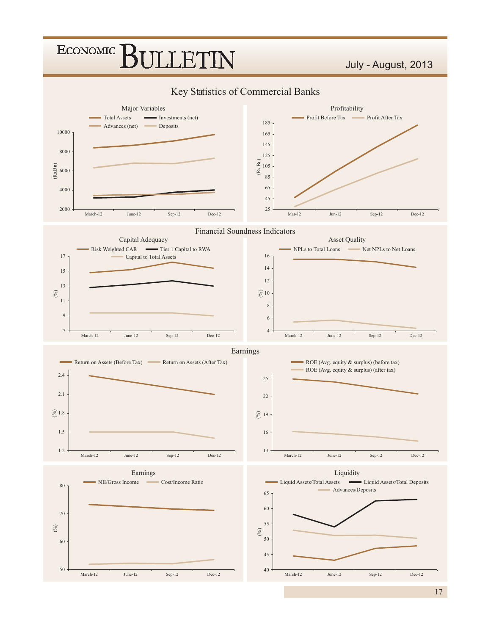

####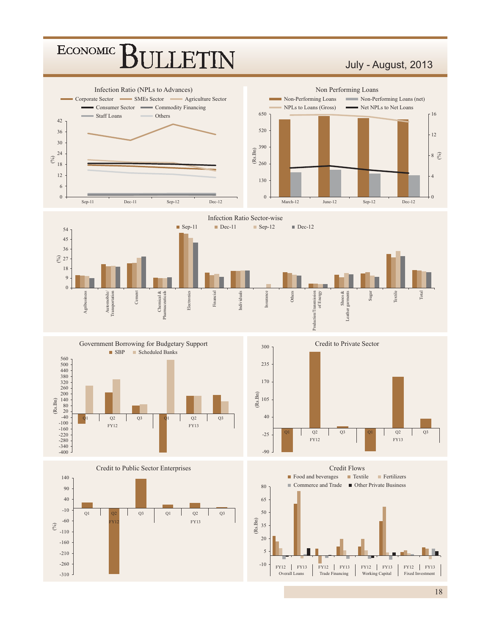#### ECONOMIC<sup>]</sup> LET

#### July - August, 2013

















Total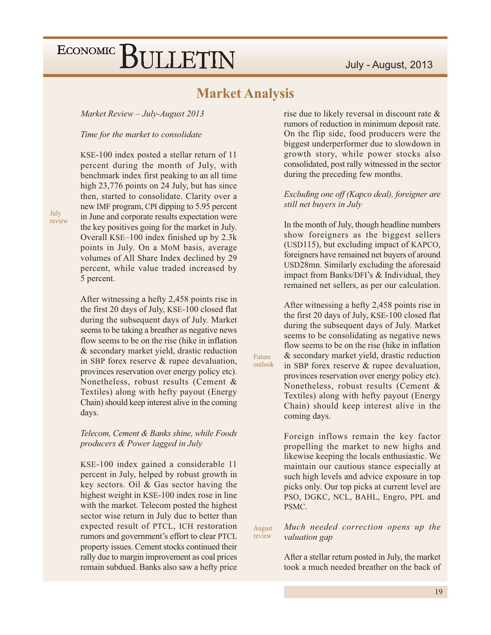#### **Market Analysis**

Market Review - July-August 2013

Time for the market to consolidate

KSE-100 index posted a stellar return of 11 percent during the month of July, with benchmark index first peaking to an all time high 23,776 points on 24 July, but has since then, started to consolidate. Clarity over a new IMF program, CPI dipping to 5.95 percent in June and corporate results expectation were the key positives going for the market in July. Overall KSE-100 index finished up by 2.3k points in July. On a MoM basis, average volumes of All Share Index declined by 29 percent, while value traded increased by 5 percent.

After witnessing a hefty 2,458 points rise in the first 20 days of July, KSE-100 closed flat during the subsequent days of July. Market seems to be taking a breather as negative news flow seems to be on the rise (hike in inflation) & secondary market yield, drastic reduction in SBP forex reserve & rupee devaluation, provinces reservation over energy policy etc). Nonetheless, robust results (Cement & Textiles) along with hefty payout (Energy Chain) should keep interest alive in the coming days.

Telecom, Cement & Banks shine, while Foods producers & Power lagged in July

KSE-100 index gained a considerable 11 percent in July, helped by robust growth in key sectors. Oil & Gas sector having the highest weight in KSE-100 index rose in line with the market. Telecom posted the highest sector wise return in July due to better than expected result of PTCL, ICH restoration rumors and government's effort to clear PTCL property issues. Cement stocks continued their rally due to margin improvement as coal prices remain subdued. Banks also saw a hefty price rise due to likely reversal in discount rate & rumors of reduction in minimum deposit rate. On the flip side, food producers were the biggest underperformer due to slowdown in growth story, while power stocks also consolidated, post rally witnessed in the sector during the preceding few months.

#### Excluding one off (Kapco deal), foreigner are still net buyers in July

In the month of July, though headline numbers show foreigners as the biggest sellers (USD115), but excluding impact of KAPCO, foreigners have remained net buyers of around USD28mn. Similarly excluding the aforesaid impact from Banks/DFI's & Individual, they remained net sellers, as per our calculation.

After witnessing a hefty 2,458 points rise in the first 20 days of July, KSE-100 closed flat during the subsequent days of July. Market seems to be consolidating as negative news flow seems to be on the rise (hike in inflation & secondary market yield, drastic reduction in SBP forex reserve & rupee devaluation,

Future outlook

provinces reservation over energy policy etc). Nonetheless, robust results (Cement & Textiles) along with hefty payout (Energy Chain) should keep interest alive in the coming days.

Foreign inflows remain the key factor propelling the market to new highs and likewise keeping the locals enthusiastic. We maintain our cautious stance especially at such high levels and advice exposure in top picks only. Our top picks at current level are PSO, DGKC, NCL, BAHL, Engro, PPL and PSMC.

Much needed correction opens up the August review valuation gap

> After a stellar return posted in July, the market took a much needed breather on the back of

July review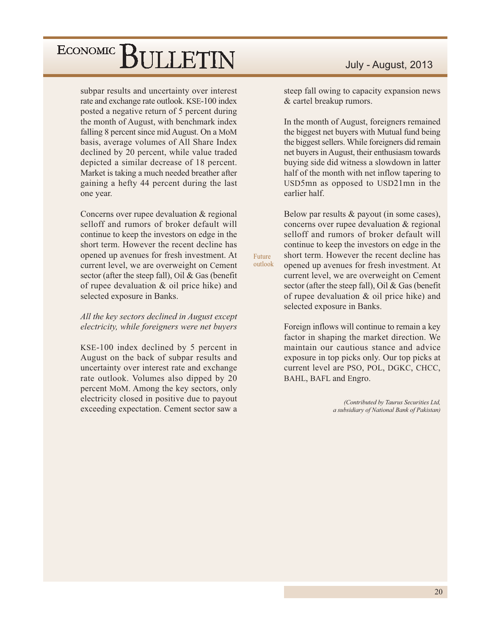subpar results and uncertainty over interest rate and exchange rate outlook. KSE-100 index posted a negative return of 5 percent during the month of August, with benchmark index falling 8 percent since mid August. On a MoM basis, average volumes of All Share Index declined by 20 percent, while value traded depicted a similar decrease of 18 percent. Market is taking a much needed breather after gaining a hefty 44 percent during the last one year.

Concerns over rupee devaluation & regional selloff and rumors of broker default will continue to keep the investors on edge in the short term. However the recent decline has opened up avenues for fresh investment. At current level, we are overweight on Cement sector (after the steep fall), Oil & Gas (benefit of rupee devaluation & oil price hike) and selected exposure in Banks.

All the key sectors declined in August except electricity, while foreigners were net buyers

KSE-100 index declined by 5 percent in August on the back of subpar results and uncertainty over interest rate and exchange rate outlook. Volumes also dipped by 20 percent MoM. Among the key sectors, only electricity closed in positive due to payout exceeding expectation. Cement sector saw a

#### July - August, 2013

steep fall owing to capacity expansion news & cartel breakup rumors.

In the month of August, foreigners remained the biggest net buyers with Mutual fund being the biggest sellers. While foreigners did remain net buyers in August, their enthusiasm towards buying side did witness a slowdown in latter half of the month with net inflow tapering to USD5mn as opposed to USD21mn in the earlier half.

Below par results  $&$  payout (in some cases), concerns over rupee devaluation & regional selloff and rumors of broker default will continue to keep the investors on edge in the short term. However the recent decline has opened up avenues for fresh investment. At current level, we are overweight on Cement sector (after the steep fall), Oil & Gas (benefit of rupee devaluation & oil price hike) and selected exposure in Banks.

Foreign inflows will continue to remain a key factor in shaping the market direction. We maintain our cautious stance and advice exposure in top picks only. Our top picks at current level are PSO, POL, DGKC, CHCC, BAHL, BAFL and Engro.

> (Contributed by Taurus Securities Ltd, a subsidiary of National Bank of Pakistan)

Future outlook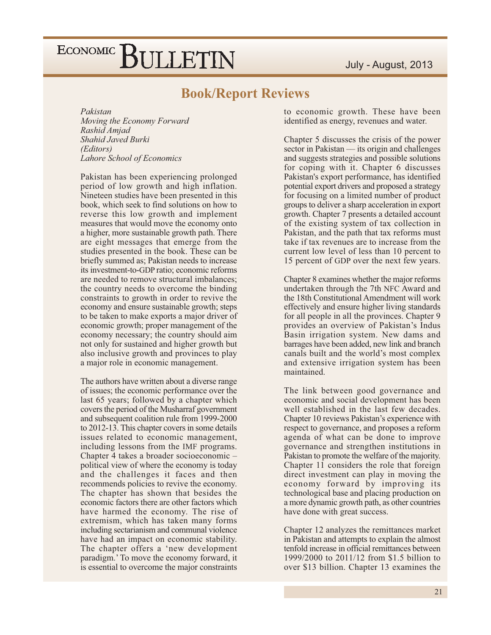#### **Book/Report Reviews**

Pakistan Moving the Economy Forward Rashid Amjad Shahid Javed Burki (Editors) Lahore School of Economics

Pakistan has been experiencing prolonged period of low growth and high inflation. Nineteen studies have been presented in this book, which seek to find solutions on how to reverse this low growth and implement measures that would move the economy onto a higher, more sustainable growth path. There are eight messages that emerge from the studies presented in the book. These can be briefly summed as; Pakistan needs to increase its investment-to-GDP ratio; economic reforms are needed to remove structural imbalances: the country needs to overcome the binding constraints to growth in order to revive the economy and ensure sustainable growth; steps to be taken to make exports a major driver of economic growth; proper management of the economy necessary; the country should aim not only for sustained and higher growth but also inclusive growth and provinces to play a major role in economic management.

The authors have written about a diverse range of issues; the economic performance over the last 65 years; followed by a chapter which covers the period of the Musharraf government and subsequent coalition rule from 1999-2000 to 2012-13. This chapter covers in some details issues related to economic management, including lessons from the IMF programs. Chapter 4 takes a broader socioeconomic political view of where the economy is today and the challenges it faces and then recommends policies to revive the economy. The chapter has shown that besides the economic factors there are other factors which have harmed the economy. The rise of extremism, which has taken many forms including sectarianism and communal violence have had an impact on economic stability. The chapter offers a 'new development paradigm.' To move the economy forward, it is essential to overcome the major constraints

to economic growth. These have been identified as energy, revenues and water.

Chapter 5 discusses the crisis of the power sector in Pakistan — its origin and challenges and suggests strategies and possible solutions for coping with it. Chapter 6 discusses Pakistan's export performance, has identified potential export drivers and proposed a strategy for focusing on a limited number of product groups to deliver a sharp acceleration in export growth. Chapter 7 presents a detailed account of the existing system of tax collection in Pakistan, and the path that tax reforms must take if tax revenues are to increase from the current low level of less than 10 percent to 15 percent of GDP over the next few years.

Chapter 8 examines whether the major reforms undertaken through the 7th NFC Award and the 18th Constitutional Amendment will work effectively and ensure higher living standards for all people in all the provinces. Chapter 9 provides an overview of Pakistan's Indus Basin irrigation system. New dams and barrages have been added, new link and branch canals built and the world's most complex and extensive irrigation system has been maintained.

The link between good governance and economic and social development has been well established in the last few decades. Chapter 10 reviews Pakistan's experience with respect to governance, and proposes a reform agenda of what can be done to improve governance and strengthen institutions in Pakistan to promote the welfare of the majority. Chapter 11 considers the role that foreign direct investment can play in moving the economy forward by improving its technological base and placing production on a more dynamic growth path, as other countries have done with great success.

Chapter 12 analyzes the remittances market in Pakistan and attempts to explain the almost tenfold increase in official remittances between 1999/2000 to 2011/12 from \$1.5 billion to over \$13 billion. Chapter 13 examines the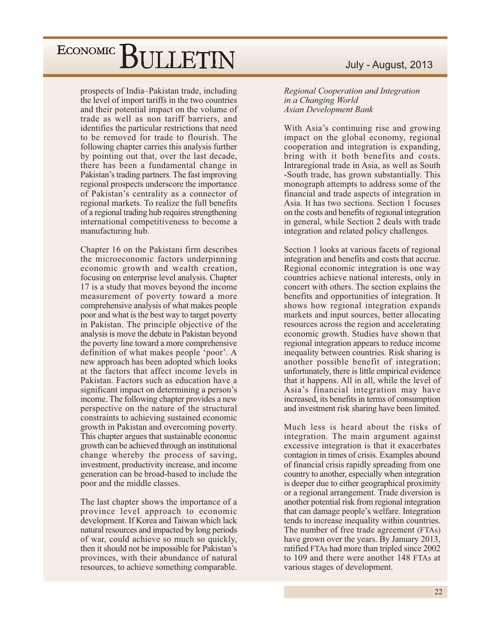prospects of India-Pakistan trade, including the level of import tariffs in the two countries and their potential impact on the volume of trade as well as non tariff barriers, and identifies the particular restrictions that need to be removed for trade to flourish. The following chapter carries this analysis further by pointing out that, over the last decade, there has been a fundamental change in Pakistan's trading partners. The fast improving regional prospects underscore the importance of Pakistan's centrality as a connector of regional markets. To realize the full benefits of a regional trading hub requires strengthening international competitiveness to become a manufacturing hub.

Chapter 16 on the Pakistani firm describes the microeconomic factors underpinning economic growth and wealth creation, focusing on enterprise level analysis. Chapter 17 is a study that moves beyond the income measurement of poverty toward a more comprehensive analysis of what makes people poor and what is the best way to target poverty in Pakistan. The principle objective of the analysis is move the debate in Pakistan beyond the poverty line toward a more comprehensive definition of what makes people 'poor'. A new approach has been adopted which looks at the factors that affect income levels in Pakistan. Factors such as education have a significant impact on determining a person's income. The following chapter provides a new perspective on the nature of the structural constraints to achieving sustained economic growth in Pakistan and overcoming poverty. This chapter argues that sustainable economic growth can be achieved through an institutional change whereby the process of saving, investment, productivity increase, and income generation can be broad-based to include the poor and the middle classes.

The last chapter shows the importance of a province level approach to economic development. If Korea and Taiwan which lack natural resources and impacted by long periods of war, could achieve so much so quickly, then it should not be impossible for Pakistan's provinces, with their abundance of natural resources, to achieve something comparable.

#### July - August, 2013

Regional Cooperation and Integration in a Changing World **Asian Development Bank** 

With Asia's continuing rise and growing impact on the global economy, regional cooperation and integration is expanding, bring with it both benefits and costs. Intraregional trade in Asia, as well as South -South trade, has grown substantially. This monograph attempts to address some of the financial and trade aspects of integration in Asia. It has two sections. Section 1 focuses on the costs and benefits of regional integration in general, while Section 2 deals with trade integration and related policy challenges.

Section 1 looks at various facets of regional integration and benefits and costs that accrue. Regional economic integration is one way countries achieve national interests, only in concert with others. The section explains the benefits and opportunities of integration. It shows how regional integration expands markets and input sources, better allocating resources across the region and accelerating economic growth. Studies have shown that regional integration appears to reduce income inequality between countries. Risk sharing is another possible benefit of integration; unfortunately, there is little empirical evidence that it happens. All in all, while the level of Asia's financial integration may have increased, its benefits in terms of consumption and investment risk sharing have been limited.

Much less is heard about the risks of integration. The main argument against excessive integration is that it exacerbates contagion in times of crisis. Examples abound of financial crisis rapidly spreading from one country to another, especially when integration is deeper due to either geographical proximity or a regional arrangement. Trade diversion is another potential risk from regional integration that can damage people's welfare. Integration tends to increase inequality within countries. The number of free trade agreement (FTAs) have grown over the years. By January 2013, ratified FTAs had more than tripled since 2002 to 109 and there were another 148 FTAs at various stages of development.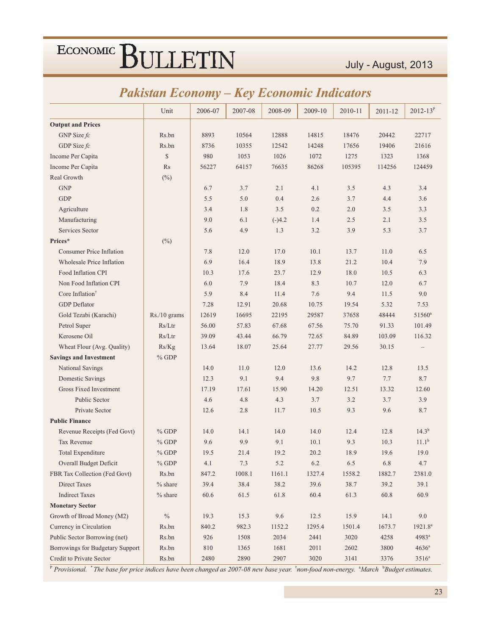### Pakistan Economy - Key Economic Indicators

|                                  | Unit         | 2006-07 | 2007-08 | 2008-09  | 2009-10 | 2010-11 | 2011-12  | $2012 - 13^{P}$     |
|----------------------------------|--------------|---------|---------|----------|---------|---------|----------|---------------------|
| <b>Output and Prices</b>         |              |         |         |          |         |         |          |                     |
| GNP Size $fc$                    | Rs.bn        | 8893    | 10564   | 12888    | 14815   | 18476   | 20442    | 22717               |
| GDP Size fc                      | Rs.bn        | 8736    | 10355   | 12542    | 14248   | 17656   | 19406    | 21616               |
| Income Per Capita                | $\mathbb{S}$ | 980     | 1053    | 1026     | 1072    | 1275    | 1323     | 1368                |
| Income Per Capita                | Rs           | 56227   | 64157   | 76635    | 86268   | 105395  | 114256   | 124459              |
| Real Growth                      | $(\%)$       |         |         |          |         |         |          |                     |
| <b>GNP</b>                       |              | 6.7     | 3.7     | 2.1      | 4.1     | 3.5     | 4.3      | 3.4                 |
| <b>GDP</b>                       |              | 5.5     | 5.0     | 0.4      | 2.6     | 3.7     | 4.4      | 3.6                 |
| Agriculture                      |              | 3.4     | 1.8     | 3.5      | 0.2     | 2.0     | 3.5      | 3.3                 |
| Manufacturing                    |              | 9.0     | 6.1     | $(-)4.2$ | 1.4     | 2.5     | 2.1      | 3.5                 |
| Services Sector                  |              | 5.6     | 4.9     | 1.3      | 3.2     | 3.9     | 5.3      | 3.7                 |
| Prices*                          | $(\%)$       |         |         |          |         |         |          |                     |
| <b>Consumer Price Inflation</b>  |              | 7.8     | 12.0    | 17.0     | 10.1    | 13.7    | 11.0     | 6.5                 |
| Wholesale Price Inflation        |              | 6.9     | 16.4    | 18.9     | 13.8    | 21.2    | 10.4     | 7.9                 |
| Food Inflation CPI               |              | 10.3    | 17.6    | 23.7     | 12.9    | 18.0    | 10.5     | 6.3                 |
| Non Food Inflation CPI           |              | 6.0     | 7.9     | 18.4     | 8.3     | 10.7    | 12.0     | 6.7                 |
| Core Inflation <sup>†</sup>      |              | 5.9     | 8.4     | 11.4     | 7.6     | 9.4     | 11.5     | 9.0                 |
| <b>GDP</b> Deflator              |              | 7.28    | 12.91   | 20.68    | 10.75   | 19.54   | 5.32     | 7.53                |
| Gold Tezabi (Karachi)            | Rs./10 grams | 12619   | 16695   | 22195    | 29587   | 37658   | 48444    | 51560 <sup>a</sup>  |
| Petrol Super                     | Rs/Ltr       | 56.00   | 57.83   | 67.68    | 67.56   | 75.70   | 91.33    | 101.49              |
| Kerosene Oil                     | Rs/Ltr       | 39.09   | 43.44   | 66.79    | 72.65   | 84.89   | 103.09   | 116.32              |
| Wheat Flour (Avg. Quality)       | Rs/Kg        | 13.64   | 18.07   | 25.64    | 27.77   | 29.56   | 30.15    |                     |
| <b>Savings and Investment</b>    | $%$ GDP      |         |         |          |         |         |          |                     |
| National Savings                 |              | 14.0    | 11.0    | 12.0     | 13.6    | 14.2    | 12.8     | 13.5                |
| Domestic Savings                 |              | 12.3    | 9.1     | 9.4      | 9.8     | 9.7     | 7.7      | 8.7                 |
| Gross Fixed Investment           |              | 17.19   | 17.61   | 15.90    | 14.20   | 12.51   | 13.32    | 12.60               |
| Public Sector                    |              | 4.6     | 4.8     | 4.3      | 3.7     | 3.2     | 3.7      | 3.9                 |
| Private Sector                   |              | 12.6    | 2.8     | 11.7     | 10.5    | 9.3     | 9.6      | 8.7                 |
| <b>Public Finance</b>            |              |         |         |          |         |         |          |                     |
| Revenue Receipts (Fed Govt)      | $%$ GDP      | 14.0    | 14.1    | 14.0     | 14.0    | 12.4    | 12.8     | $14.3^{b}$          |
| Tax Revenue                      | $%$ GDP      | 9.6     | 9.9     | 9.1      | 10.1    | 9.3     | 10.3     | $11.1^{b}$          |
| Total Expenditure                | $%$ GDP      | 19.5    | 21.4    | 19.2     | 20.2    | 18.9    | 19.6     | 19.0                |
| Overall Budget Deficit           | $\%$ GDP     | 4.1     | 7.3     | $5.2\,$  | 6.2     | 6.5     | 6.8      | 4.7                 |
| FBR Tax Collection (Fed Govt)    | Rs.bn        | 847.2   | 1008.1  | 1161.1   | 1327.4  | 1558.2  | 1882.7   | 2381.0              |
| Direct Taxes                     | $%$ share    | 39.4    | 38.4    | 38.2     | 39.6    | 38.7    | 39.2     | 39.1                |
| <b>Indirect Taxes</b>            | $%$ share    | 60.6    | 61.5    | 61.8     | 60.4    | 61.3    | $60.8\,$ | 60.9                |
| <b>Monetary Sector</b>           |              |         |         |          |         |         |          |                     |
| Growth of Broad Money (M2)       | $\%$         | 19.3    | 15.3    | 9.6      | 12.5    | 15.9    | 14.1     | 9.0                 |
| Currency in Circulation          | Rs.bn        | 840.2   | 982.3   | 1152.2   | 1295.4  | 1501.4  | 1673.7   | 1921.8 <sup>a</sup> |
| Public Sector Borrowing (net)    | Rs.bn        | 926     | 1508    | 2034     | 2441    | 3020    | 4258     | 4983ª               |
| Borrowings for Budgetary Support | Rs.bn        | $810\,$ | 1365    | 1681     | 2011    | 2602    | 3800     | $4636^a$            |
| Credit to Private Sector         | Rs.bn        | 2480    | 2890    | 2907     | 3020    | 3141    | 3376     | $3516^{\rm a}$      |

P Provisional. \* The base for price indices have been changed as 2007-08 new base year. \*non-food non-energy. \*March \*Budget estimates.